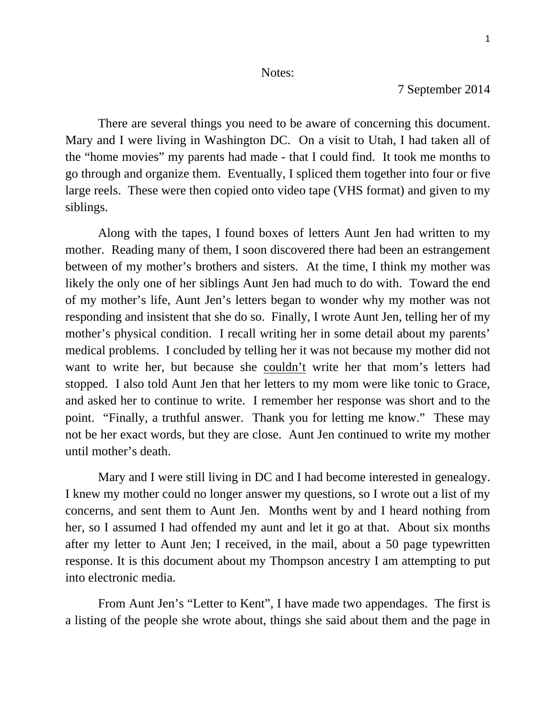### Notes:

# 7 September 2014

 There are several things you need to be aware of concerning this document. Mary and I were living in Washington DC. On a visit to Utah, I had taken all of the "home movies" my parents had made - that I could find. It took me months to go through and organize them. Eventually, I spliced them together into four or five large reels. These were then copied onto video tape (VHS format) and given to my siblings.

Along with the tapes, I found boxes of letters Aunt Jen had written to my mother. Reading many of them, I soon discovered there had been an estrangement between of my mother's brothers and sisters. At the time, I think my mother was likely the only one of her siblings Aunt Jen had much to do with. Toward the end of my mother's life, Aunt Jen's letters began to wonder why my mother was not responding and insistent that she do so. Finally, I wrote Aunt Jen, telling her of my mother's physical condition. I recall writing her in some detail about my parents' medical problems. I concluded by telling her it was not because my mother did not want to write her, but because she couldn't write her that mom's letters had stopped. I also told Aunt Jen that her letters to my mom were like tonic to Grace, and asked her to continue to write. I remember her response was short and to the point. "Finally, a truthful answer. Thank you for letting me know." These may not be her exact words, but they are close. Aunt Jen continued to write my mother until mother's death.

 Mary and I were still living in DC and I had become interested in genealogy. I knew my mother could no longer answer my questions, so I wrote out a list of my concerns, and sent them to Aunt Jen. Months went by and I heard nothing from her, so I assumed I had offended my aunt and let it go at that. About six months after my letter to Aunt Jen; I received, in the mail, about a 50 page typewritten response. It is this document about my Thompson ancestry I am attempting to put into electronic media.

 From Aunt Jen's "Letter to Kent", I have made two appendages. The first is a listing of the people she wrote about, things she said about them and the page in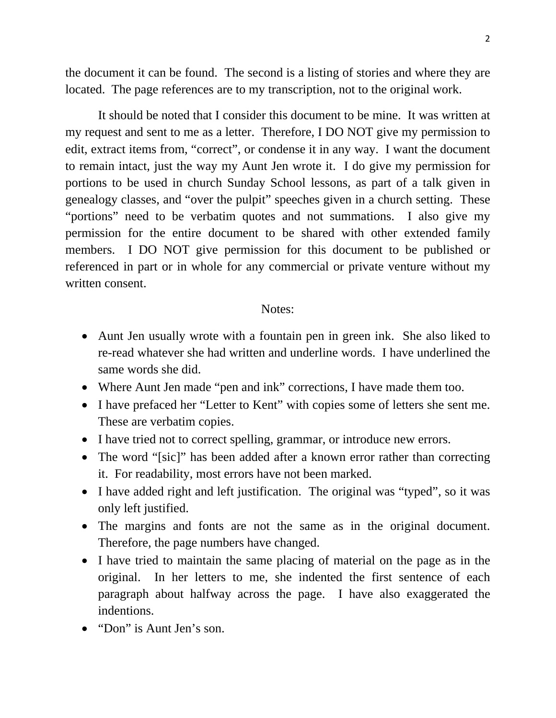the document it can be found. The second is a listing of stories and where they are located. The page references are to my transcription, not to the original work.

 It should be noted that I consider this document to be mine. It was written at my request and sent to me as a letter. Therefore, I DO NOT give my permission to edit, extract items from, "correct", or condense it in any way. I want the document to remain intact, just the way my Aunt Jen wrote it. I do give my permission for portions to be used in church Sunday School lessons, as part of a talk given in genealogy classes, and "over the pulpit" speeches given in a church setting. These "portions" need to be verbatim quotes and not summations. I also give my permission for the entire document to be shared with other extended family members. I DO NOT give permission for this document to be published or referenced in part or in whole for any commercial or private venture without my written consent.

### Notes:

- Aunt Jen usually wrote with a fountain pen in green ink. She also liked to re-read whatever she had written and underline words. I have underlined the same words she did.
- Where Aunt Jen made "pen and ink" corrections, I have made them too.
- I have prefaced her "Letter to Kent" with copies some of letters she sent me. These are verbatim copies.
- I have tried not to correct spelling, grammar, or introduce new errors.
- The word "[sic]" has been added after a known error rather than correcting it. For readability, most errors have not been marked.
- I have added right and left justification. The original was "typed", so it was only left justified.
- The margins and fonts are not the same as in the original document. Therefore, the page numbers have changed.
- I have tried to maintain the same placing of material on the page as in the original. In her letters to me, she indented the first sentence of each paragraph about halfway across the page. I have also exaggerated the indentions.
- "Don" is Aunt Jen's son.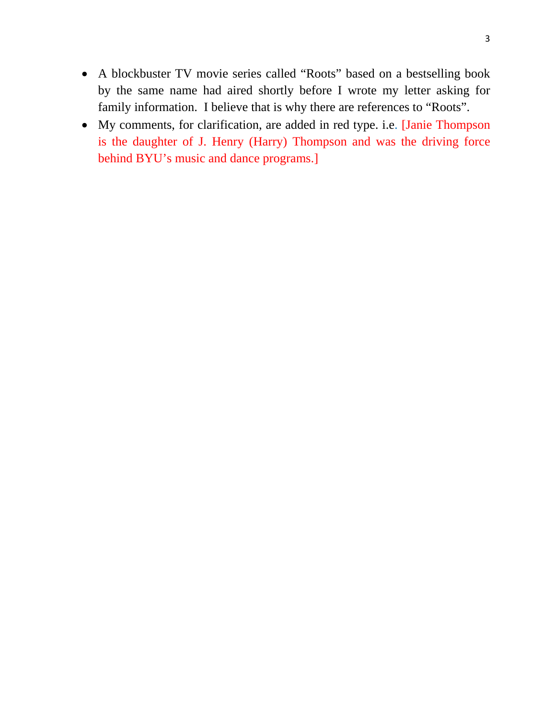- A blockbuster TV movie series called "Roots" based on a bestselling book by the same name had aired shortly before I wrote my letter asking for family information. I believe that is why there are references to "Roots".
- My comments, for clarification, are added in red type. i.e. [Janie Thompson is the daughter of J. Henry (Harry) Thompson and was the driving force behind BYU's music and dance programs.]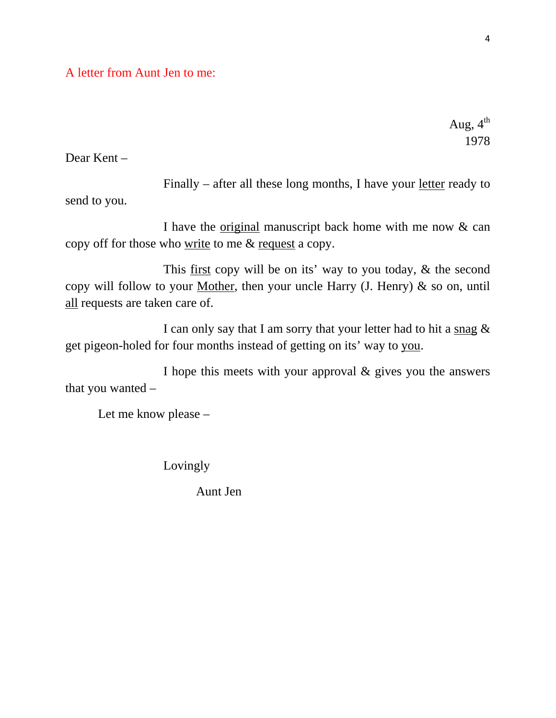A letter from Aunt Jen to me:

Aug,  $4^{th}$ 1978

Dear Kent –

 Finally – after all these long months, I have your letter ready to send to you.

 I have the original manuscript back home with me now & can copy off for those who write to me & request a copy.

 This first copy will be on its' way to you today, & the second copy will follow to your Mother, then your uncle Harry  $(J.$  Henry)  $\&$  so on, until all requests are taken care of.

 I can only say that I am sorry that your letter had to hit a snag & get pigeon-holed for four months instead of getting on its' way to you.

 I hope this meets with your approval & gives you the answers that you wanted –

Let me know please –

Lovingly

Aunt Jen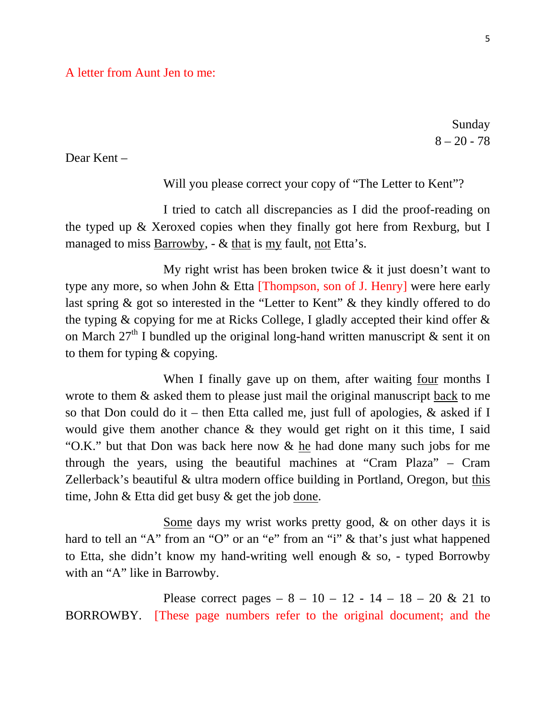Sunday  $8 - 20 - 78$ 

Dear Kent –

Will you please correct your copy of "The Letter to Kent"?

 I tried to catch all discrepancies as I did the proof-reading on the typed up & Xeroxed copies when they finally got here from Rexburg, but I managed to miss Barrowby, - & that is my fault, not Etta's.

My right wrist has been broken twice  $\&$  it just doesn't want to type any more, so when John & Etta [Thompson, son of J. Henry] were here early last spring & got so interested in the "Letter to Kent" & they kindly offered to do the typing & copying for me at Ricks College, I gladly accepted their kind offer & on March  $27<sup>th</sup>$  I bundled up the original long-hand written manuscript & sent it on to them for typing & copying.

 When I finally gave up on them, after waiting four months I wrote to them  $\&$  asked them to please just mail the original manuscript back to me so that Don could do it – then Etta called me, just full of apologies,  $\&$  asked if I would give them another chance & they would get right on it this time, I said "O.K." but that Don was back here now & he had done many such jobs for me through the years, using the beautiful machines at "Cram Plaza" – Cram Zellerback's beautiful & ultra modern office building in Portland, Oregon, but this time, John & Etta did get busy & get the job done.

 Some days my wrist works pretty good, & on other days it is hard to tell an "A" from an "O" or an "e" from an "i" & that's just what happened to Etta, she didn't know my hand-writing well enough & so, - typed Borrowby with an "A" like in Barrowby.

Please correct pages  $-8 - 10 - 12 - 14 - 18 - 20 \& 21$  to BORROWBY. [These page numbers refer to the original document; and the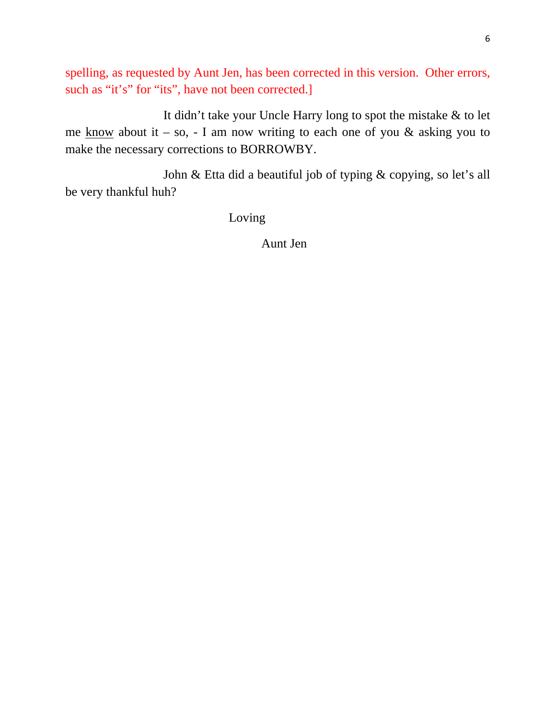spelling, as requested by Aunt Jen, has been corrected in this version. Other errors, such as "it's" for "its", have not been corrected.]

 It didn't take your Uncle Harry long to spot the mistake & to let me know about it – so, - I am now writing to each one of you  $\&$  asking you to make the necessary corrections to BORROWBY.

 John & Etta did a beautiful job of typing & copying, so let's all be very thankful huh?

Loving

Aunt Jen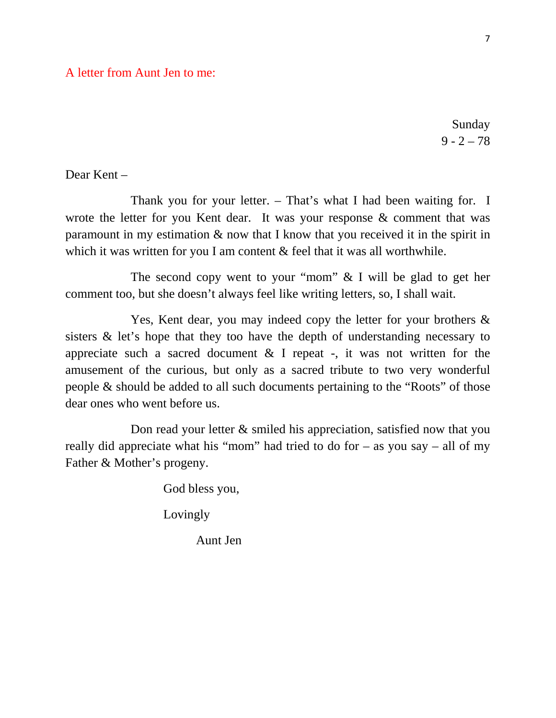## A letter from Aunt Jen to me:

Sunday  $9 - 2 - 78$ 

Dear Kent –

 Thank you for your letter. – That's what I had been waiting for. I wrote the letter for you Kent dear. It was your response & comment that was paramount in my estimation  $\&$  now that I know that you received it in the spirit in which it was written for you I am content & feel that it was all worthwhile.

 The second copy went to your "mom" & I will be glad to get her comment too, but she doesn't always feel like writing letters, so, I shall wait.

 Yes, Kent dear, you may indeed copy the letter for your brothers & sisters & let's hope that they too have the depth of understanding necessary to appreciate such a sacred document  $\&$  I repeat -, it was not written for the amusement of the curious, but only as a sacred tribute to two very wonderful people & should be added to all such documents pertaining to the "Roots" of those dear ones who went before us.

Don read your letter  $\&$  smiled his appreciation, satisfied now that you really did appreciate what his "mom" had tried to do for – as you say – all of my Father & Mother's progeny.

God bless you,

**Lovingly** 

Aunt Jen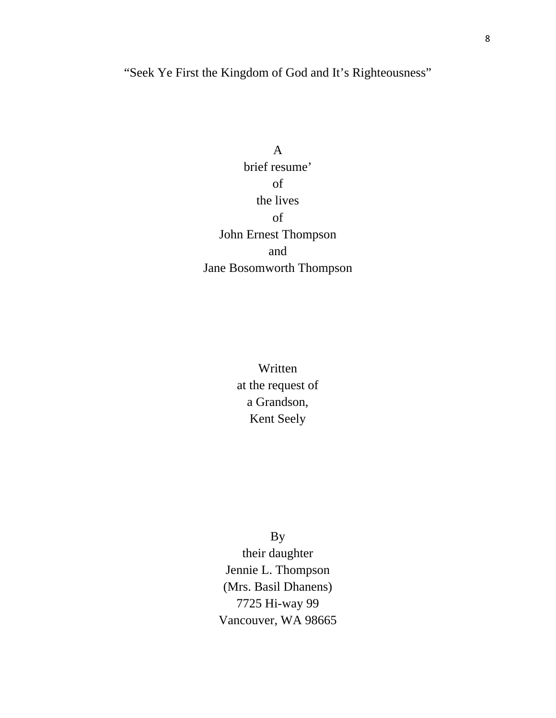"Seek Ye First the Kingdom of God and It's Righteousness"

A brief resume' of the lives of John Ernest Thompson and Jane Bosomworth Thompson

> Written at the request of a Grandson, Kent Seely

> > By

their daughter Jennie L. Thompson (Mrs. Basil Dhanens) 7725 Hi-way 99 Vancouver, WA 98665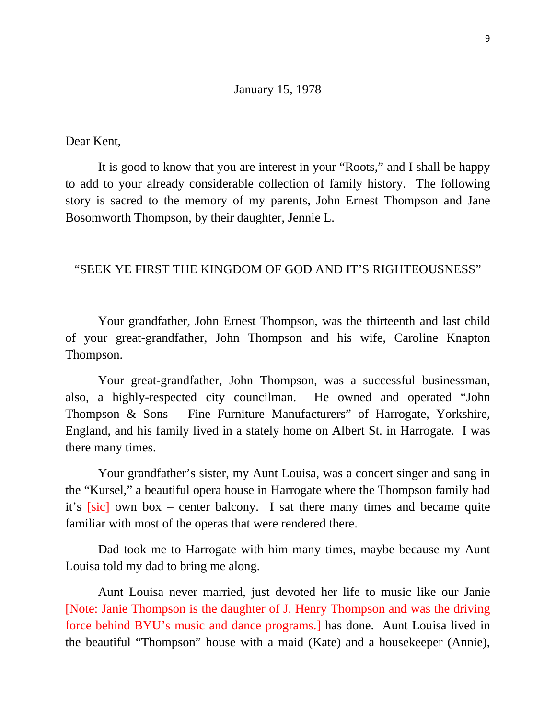### January 15, 1978

Dear Kent,

 It is good to know that you are interest in your "Roots," and I shall be happy to add to your already considerable collection of family history. The following story is sacred to the memory of my parents, John Ernest Thompson and Jane Bosomworth Thompson, by their daughter, Jennie L.

## "SEEK YE FIRST THE KINGDOM OF GOD AND IT'S RIGHTEOUSNESS"

 Your grandfather, John Ernest Thompson, was the thirteenth and last child of your great-grandfather, John Thompson and his wife, Caroline Knapton Thompson.

 Your great-grandfather, John Thompson, was a successful businessman, also, a highly-respected city councilman. He owned and operated "John Thompson & Sons – Fine Furniture Manufacturers" of Harrogate, Yorkshire, England, and his family lived in a stately home on Albert St. in Harrogate. I was there many times.

 Your grandfather's sister, my Aunt Louisa, was a concert singer and sang in the "Kursel," a beautiful opera house in Harrogate where the Thompson family had it's [sic] own box – center balcony. I sat there many times and became quite familiar with most of the operas that were rendered there.

 Dad took me to Harrogate with him many times, maybe because my Aunt Louisa told my dad to bring me along.

Aunt Louisa never married, just devoted her life to music like our Janie [Note: Janie Thompson is the daughter of J. Henry Thompson and was the driving force behind BYU's music and dance programs.] has done. Aunt Louisa lived in the beautiful "Thompson" house with a maid (Kate) and a housekeeper (Annie),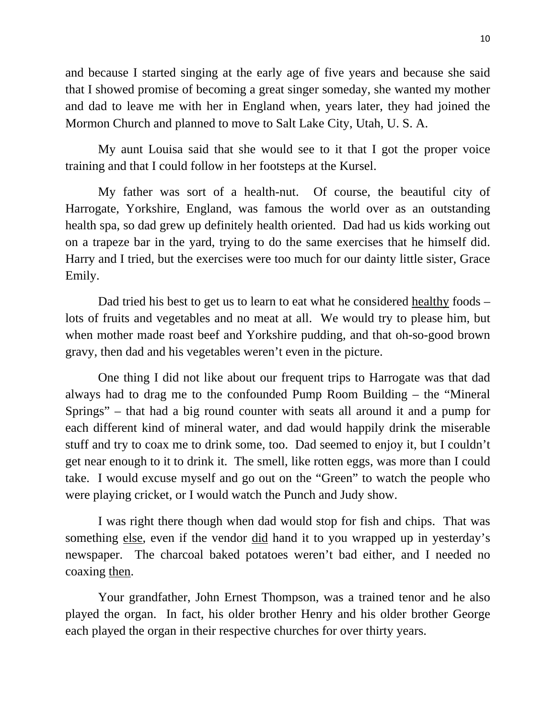and because I started singing at the early age of five years and because she said that I showed promise of becoming a great singer someday, she wanted my mother and dad to leave me with her in England when, years later, they had joined the Mormon Church and planned to move to Salt Lake City, Utah, U. S. A.

My aunt Louisa said that she would see to it that I got the proper voice training and that I could follow in her footsteps at the Kursel.

My father was sort of a health-nut. Of course, the beautiful city of Harrogate, Yorkshire, England, was famous the world over as an outstanding health spa, so dad grew up definitely health oriented. Dad had us kids working out on a trapeze bar in the yard, trying to do the same exercises that he himself did. Harry and I tried, but the exercises were too much for our dainty little sister, Grace Emily.

Dad tried his best to get us to learn to eat what he considered healthy foods – lots of fruits and vegetables and no meat at all. We would try to please him, but when mother made roast beef and Yorkshire pudding, and that oh-so-good brown gravy, then dad and his vegetables weren't even in the picture.

One thing I did not like about our frequent trips to Harrogate was that dad always had to drag me to the confounded Pump Room Building – the "Mineral Springs" – that had a big round counter with seats all around it and a pump for each different kind of mineral water, and dad would happily drink the miserable stuff and try to coax me to drink some, too. Dad seemed to enjoy it, but I couldn't get near enough to it to drink it. The smell, like rotten eggs, was more than I could take. I would excuse myself and go out on the "Green" to watch the people who were playing cricket, or I would watch the Punch and Judy show.

I was right there though when dad would stop for fish and chips. That was something else, even if the vendor did hand it to you wrapped up in yesterday's newspaper. The charcoal baked potatoes weren't bad either, and I needed no coaxing then.

Your grandfather, John Ernest Thompson, was a trained tenor and he also played the organ. In fact, his older brother Henry and his older brother George each played the organ in their respective churches for over thirty years.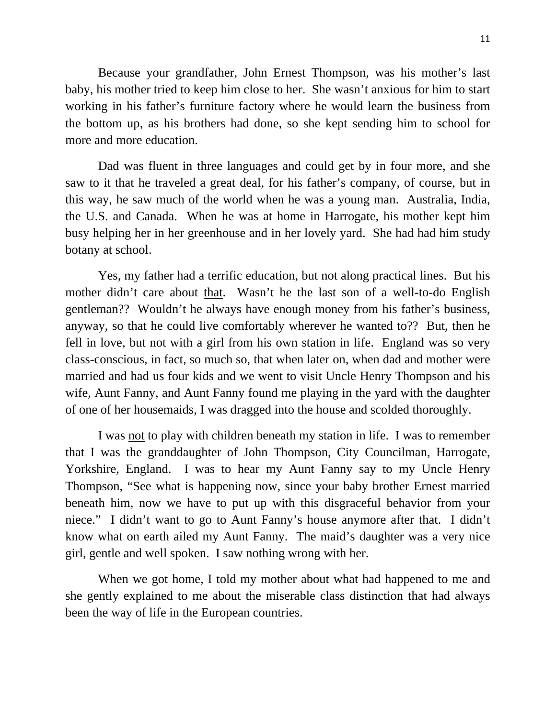Because your grandfather, John Ernest Thompson, was his mother's last baby, his mother tried to keep him close to her. She wasn't anxious for him to start working in his father's furniture factory where he would learn the business from the bottom up, as his brothers had done, so she kept sending him to school for more and more education.

Dad was fluent in three languages and could get by in four more, and she saw to it that he traveled a great deal, for his father's company, of course, but in this way, he saw much of the world when he was a young man. Australia, India, the U.S. and Canada. When he was at home in Harrogate, his mother kept him busy helping her in her greenhouse and in her lovely yard. She had had him study botany at school.

Yes, my father had a terrific education, but not along practical lines. But his mother didn't care about that. Wasn't he the last son of a well-to-do English gentleman?? Wouldn't he always have enough money from his father's business, anyway, so that he could live comfortably wherever he wanted to?? But, then he fell in love, but not with a girl from his own station in life. England was so very class-conscious, in fact, so much so, that when later on, when dad and mother were married and had us four kids and we went to visit Uncle Henry Thompson and his wife, Aunt Fanny, and Aunt Fanny found me playing in the yard with the daughter of one of her housemaids, I was dragged into the house and scolded thoroughly.

I was not to play with children beneath my station in life. I was to remember that I was the granddaughter of John Thompson, City Councilman, Harrogate, Yorkshire, England. I was to hear my Aunt Fanny say to my Uncle Henry Thompson, "See what is happening now, since your baby brother Ernest married beneath him, now we have to put up with this disgraceful behavior from your niece." I didn't want to go to Aunt Fanny's house anymore after that. I didn't know what on earth ailed my Aunt Fanny. The maid's daughter was a very nice girl, gentle and well spoken. I saw nothing wrong with her.

When we got home, I told my mother about what had happened to me and she gently explained to me about the miserable class distinction that had always been the way of life in the European countries.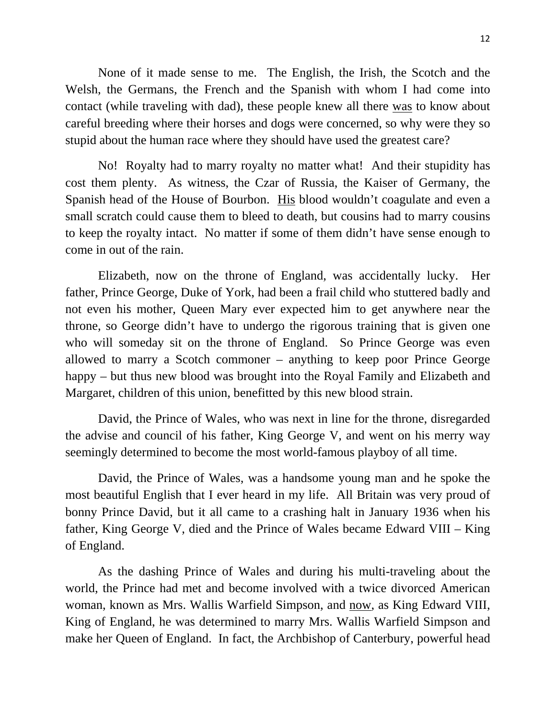None of it made sense to me. The English, the Irish, the Scotch and the Welsh, the Germans, the French and the Spanish with whom I had come into contact (while traveling with dad), these people knew all there was to know about careful breeding where their horses and dogs were concerned, so why were they so stupid about the human race where they should have used the greatest care?

No! Royalty had to marry royalty no matter what! And their stupidity has cost them plenty. As witness, the Czar of Russia, the Kaiser of Germany, the Spanish head of the House of Bourbon. His blood wouldn't coagulate and even a small scratch could cause them to bleed to death, but cousins had to marry cousins to keep the royalty intact. No matter if some of them didn't have sense enough to come in out of the rain.

Elizabeth, now on the throne of England, was accidentally lucky. Her father, Prince George, Duke of York, had been a frail child who stuttered badly and not even his mother, Queen Mary ever expected him to get anywhere near the throne, so George didn't have to undergo the rigorous training that is given one who will someday sit on the throne of England. So Prince George was even allowed to marry a Scotch commoner – anything to keep poor Prince George happy – but thus new blood was brought into the Royal Family and Elizabeth and Margaret, children of this union, benefitted by this new blood strain.

David, the Prince of Wales, who was next in line for the throne, disregarded the advise and council of his father, King George V, and went on his merry way seemingly determined to become the most world-famous playboy of all time.

David, the Prince of Wales, was a handsome young man and he spoke the most beautiful English that I ever heard in my life. All Britain was very proud of bonny Prince David, but it all came to a crashing halt in January 1936 when his father, King George V, died and the Prince of Wales became Edward VIII – King of England.

As the dashing Prince of Wales and during his multi-traveling about the world, the Prince had met and become involved with a twice divorced American woman, known as Mrs. Wallis Warfield Simpson, and now, as King Edward VIII, King of England, he was determined to marry Mrs. Wallis Warfield Simpson and make her Queen of England. In fact, the Archbishop of Canterbury, powerful head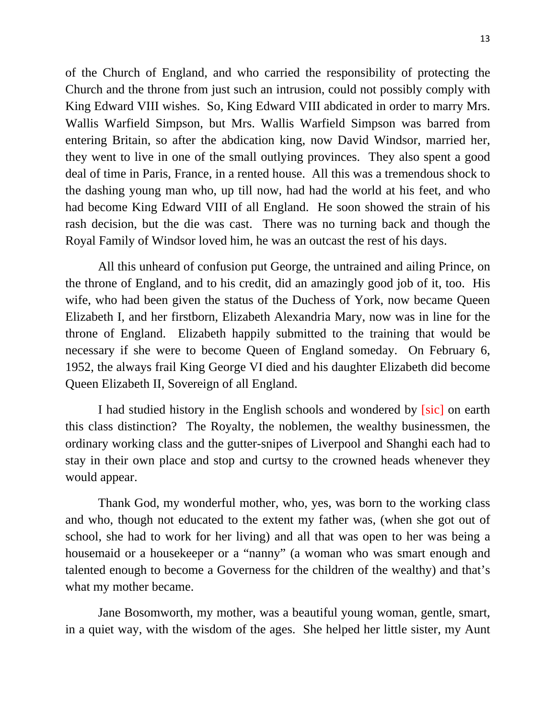of the Church of England, and who carried the responsibility of protecting the Church and the throne from just such an intrusion, could not possibly comply with King Edward VIII wishes. So, King Edward VIII abdicated in order to marry Mrs. Wallis Warfield Simpson, but Mrs. Wallis Warfield Simpson was barred from entering Britain, so after the abdication king, now David Windsor, married her, they went to live in one of the small outlying provinces. They also spent a good deal of time in Paris, France, in a rented house. All this was a tremendous shock to the dashing young man who, up till now, had had the world at his feet, and who had become King Edward VIII of all England. He soon showed the strain of his rash decision, but the die was cast. There was no turning back and though the Royal Family of Windsor loved him, he was an outcast the rest of his days.

All this unheard of confusion put George, the untrained and ailing Prince, on the throne of England, and to his credit, did an amazingly good job of it, too. His wife, who had been given the status of the Duchess of York, now became Queen Elizabeth I, and her firstborn, Elizabeth Alexandria Mary, now was in line for the throne of England. Elizabeth happily submitted to the training that would be necessary if she were to become Queen of England someday. On February 6, 1952, the always frail King George VI died and his daughter Elizabeth did become Queen Elizabeth II, Sovereign of all England.

I had studied history in the English schools and wondered by [sic] on earth this class distinction? The Royalty, the noblemen, the wealthy businessmen, the ordinary working class and the gutter-snipes of Liverpool and Shanghi each had to stay in their own place and stop and curtsy to the crowned heads whenever they would appear.

Thank God, my wonderful mother, who, yes, was born to the working class and who, though not educated to the extent my father was, (when she got out of school, she had to work for her living) and all that was open to her was being a housemaid or a housekeeper or a "nanny" (a woman who was smart enough and talented enough to become a Governess for the children of the wealthy) and that's what my mother became.

Jane Bosomworth, my mother, was a beautiful young woman, gentle, smart, in a quiet way, with the wisdom of the ages. She helped her little sister, my Aunt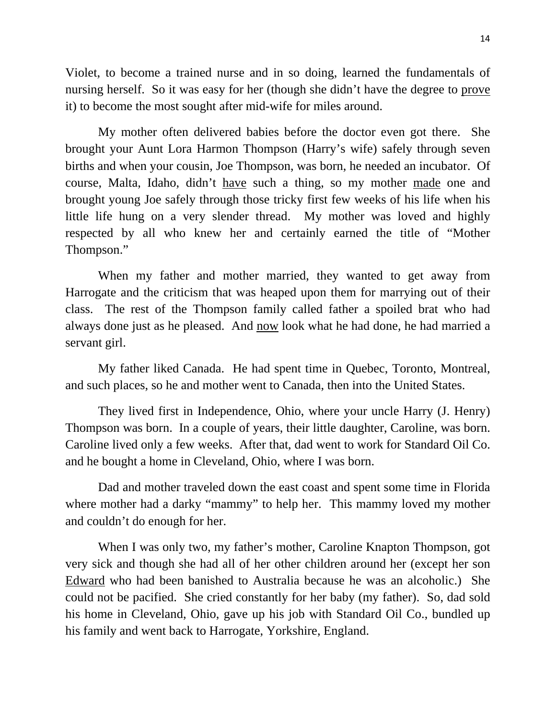Violet, to become a trained nurse and in so doing, learned the fundamentals of nursing herself. So it was easy for her (though she didn't have the degree to prove it) to become the most sought after mid-wife for miles around.

My mother often delivered babies before the doctor even got there. She brought your Aunt Lora Harmon Thompson (Harry's wife) safely through seven births and when your cousin, Joe Thompson, was born, he needed an incubator. Of course, Malta, Idaho, didn't have such a thing, so my mother made one and brought young Joe safely through those tricky first few weeks of his life when his little life hung on a very slender thread. My mother was loved and highly respected by all who knew her and certainly earned the title of "Mother Thompson."

When my father and mother married, they wanted to get away from Harrogate and the criticism that was heaped upon them for marrying out of their class. The rest of the Thompson family called father a spoiled brat who had always done just as he pleased. And now look what he had done, he had married a servant girl.

My father liked Canada. He had spent time in Quebec, Toronto, Montreal, and such places, so he and mother went to Canada, then into the United States.

They lived first in Independence, Ohio, where your uncle Harry (J. Henry) Thompson was born. In a couple of years, their little daughter, Caroline, was born. Caroline lived only a few weeks. After that, dad went to work for Standard Oil Co. and he bought a home in Cleveland, Ohio, where I was born.

Dad and mother traveled down the east coast and spent some time in Florida where mother had a darky "mammy" to help her. This mammy loved my mother and couldn't do enough for her.

When I was only two, my father's mother, Caroline Knapton Thompson, got very sick and though she had all of her other children around her (except her son Edward who had been banished to Australia because he was an alcoholic.) She could not be pacified. She cried constantly for her baby (my father). So, dad sold his home in Cleveland, Ohio, gave up his job with Standard Oil Co., bundled up his family and went back to Harrogate, Yorkshire, England.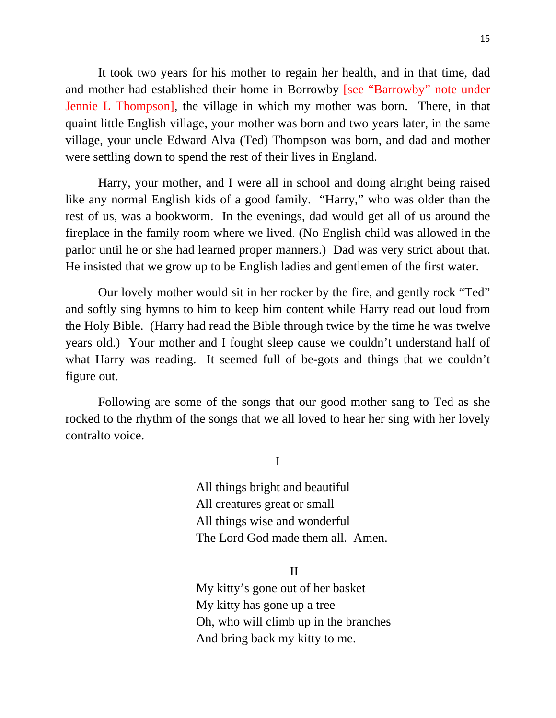It took two years for his mother to regain her health, and in that time, dad and mother had established their home in Borrowby [see "Barrowby" note under Jennie L Thompson], the village in which my mother was born. There, in that quaint little English village, your mother was born and two years later, in the same village, your uncle Edward Alva (Ted) Thompson was born, and dad and mother were settling down to spend the rest of their lives in England.

Harry, your mother, and I were all in school and doing alright being raised like any normal English kids of a good family. "Harry," who was older than the rest of us, was a bookworm. In the evenings, dad would get all of us around the fireplace in the family room where we lived. (No English child was allowed in the parlor until he or she had learned proper manners.) Dad was very strict about that. He insisted that we grow up to be English ladies and gentlemen of the first water.

Our lovely mother would sit in her rocker by the fire, and gently rock "Ted" and softly sing hymns to him to keep him content while Harry read out loud from the Holy Bible. (Harry had read the Bible through twice by the time he was twelve years old.) Your mother and I fought sleep cause we couldn't understand half of what Harry was reading. It seemed full of be-gots and things that we couldn't figure out.

Following are some of the songs that our good mother sang to Ted as she rocked to the rhythm of the songs that we all loved to hear her sing with her lovely contralto voice.

I

 All things bright and beautiful All creatures great or small All things wise and wonderful The Lord God made them all. Amen.

II

 My kitty's gone out of her basket My kitty has gone up a tree Oh, who will climb up in the branches And bring back my kitty to me.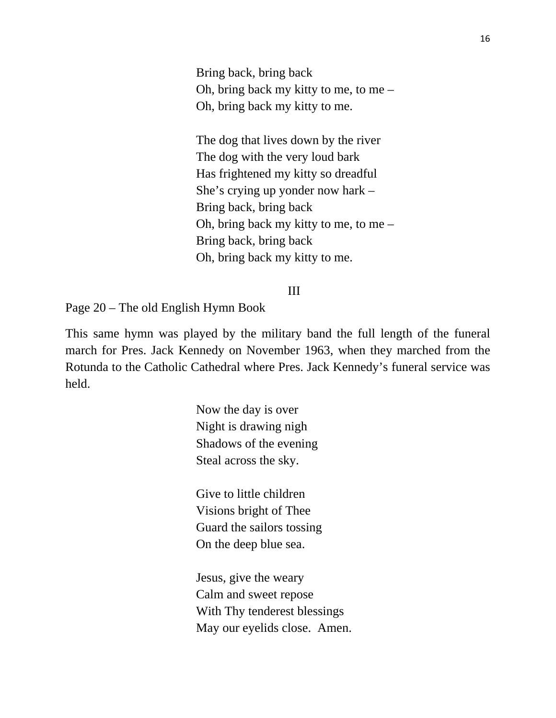Bring back, bring back Oh, bring back my kitty to me, to me – Oh, bring back my kitty to me.

 The dog that lives down by the river The dog with the very loud bark Has frightened my kitty so dreadful She's crying up yonder now hark – Bring back, bring back Oh, bring back my kitty to me, to me – Bring back, bring back Oh, bring back my kitty to me.

## III

Page 20 – The old English Hymn Book

This same hymn was played by the military band the full length of the funeral march for Pres. Jack Kennedy on November 1963, when they marched from the Rotunda to the Catholic Cathedral where Pres. Jack Kennedy's funeral service was held.

> Now the day is over Night is drawing nigh Shadows of the evening Steal across the sky.

 Give to little children Visions bright of Thee Guard the sailors tossing On the deep blue sea.

 Jesus, give the weary Calm and sweet repose With Thy tenderest blessings May our eyelids close. Amen.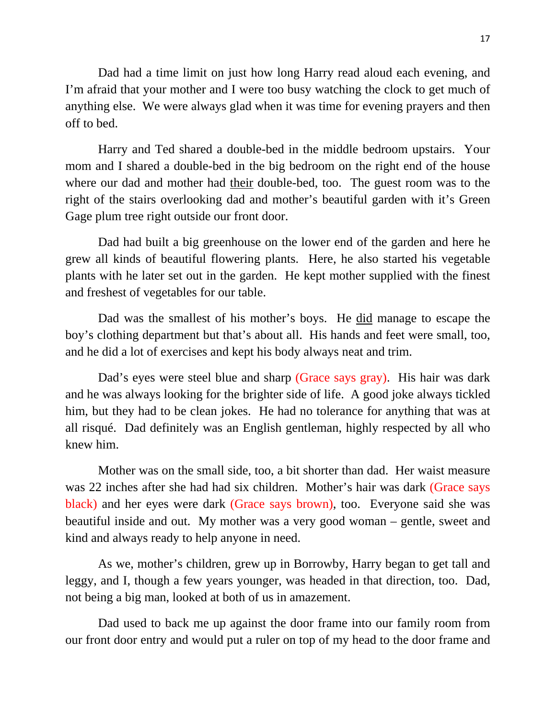Dad had a time limit on just how long Harry read aloud each evening, and I'm afraid that your mother and I were too busy watching the clock to get much of anything else. We were always glad when it was time for evening prayers and then off to bed.

Harry and Ted shared a double-bed in the middle bedroom upstairs. Your mom and I shared a double-bed in the big bedroom on the right end of the house where our dad and mother had their double-bed, too. The guest room was to the right of the stairs overlooking dad and mother's beautiful garden with it's Green Gage plum tree right outside our front door.

Dad had built a big greenhouse on the lower end of the garden and here he grew all kinds of beautiful flowering plants. Here, he also started his vegetable plants with he later set out in the garden. He kept mother supplied with the finest and freshest of vegetables for our table.

Dad was the smallest of his mother's boys. He did manage to escape the boy's clothing department but that's about all. His hands and feet were small, too, and he did a lot of exercises and kept his body always neat and trim.

Dad's eyes were steel blue and sharp (Grace says gray). His hair was dark and he was always looking for the brighter side of life. A good joke always tickled him, but they had to be clean jokes. He had no tolerance for anything that was at all risqué. Dad definitely was an English gentleman, highly respected by all who knew him.

Mother was on the small side, too, a bit shorter than dad. Her waist measure was 22 inches after she had had six children. Mother's hair was dark (Grace says black) and her eyes were dark (Grace says brown), too. Everyone said she was beautiful inside and out. My mother was a very good woman – gentle, sweet and kind and always ready to help anyone in need.

As we, mother's children, grew up in Borrowby, Harry began to get tall and leggy, and I, though a few years younger, was headed in that direction, too. Dad, not being a big man, looked at both of us in amazement.

Dad used to back me up against the door frame into our family room from our front door entry and would put a ruler on top of my head to the door frame and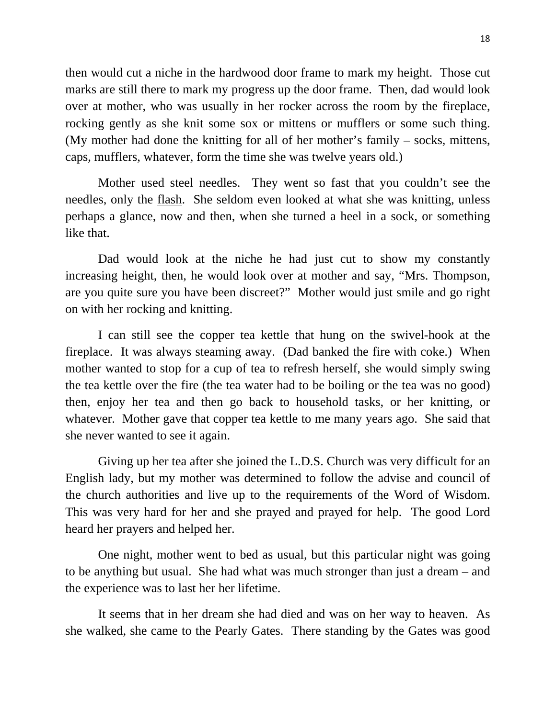then would cut a niche in the hardwood door frame to mark my height. Those cut marks are still there to mark my progress up the door frame. Then, dad would look over at mother, who was usually in her rocker across the room by the fireplace, rocking gently as she knit some sox or mittens or mufflers or some such thing. (My mother had done the knitting for all of her mother's family – socks, mittens, caps, mufflers, whatever, form the time she was twelve years old.)

Mother used steel needles. They went so fast that you couldn't see the needles, only the flash. She seldom even looked at what she was knitting, unless perhaps a glance, now and then, when she turned a heel in a sock, or something like that.

Dad would look at the niche he had just cut to show my constantly increasing height, then, he would look over at mother and say, "Mrs. Thompson, are you quite sure you have been discreet?" Mother would just smile and go right on with her rocking and knitting.

I can still see the copper tea kettle that hung on the swivel-hook at the fireplace. It was always steaming away. (Dad banked the fire with coke.) When mother wanted to stop for a cup of tea to refresh herself, she would simply swing the tea kettle over the fire (the tea water had to be boiling or the tea was no good) then, enjoy her tea and then go back to household tasks, or her knitting, or whatever. Mother gave that copper tea kettle to me many years ago. She said that she never wanted to see it again.

Giving up her tea after she joined the L.D.S. Church was very difficult for an English lady, but my mother was determined to follow the advise and council of the church authorities and live up to the requirements of the Word of Wisdom. This was very hard for her and she prayed and prayed for help. The good Lord heard her prayers and helped her.

One night, mother went to bed as usual, but this particular night was going to be anything but usual. She had what was much stronger than just a dream – and the experience was to last her her lifetime.

It seems that in her dream she had died and was on her way to heaven. As she walked, she came to the Pearly Gates. There standing by the Gates was good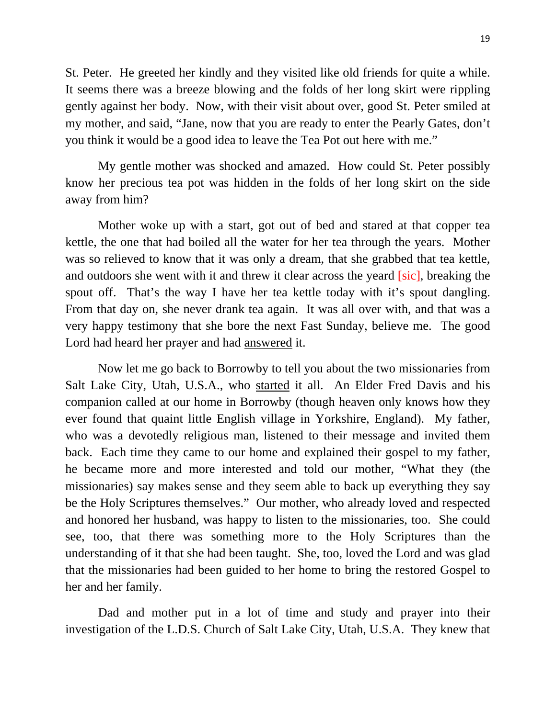St. Peter. He greeted her kindly and they visited like old friends for quite a while. It seems there was a breeze blowing and the folds of her long skirt were rippling gently against her body. Now, with their visit about over, good St. Peter smiled at my mother, and said, "Jane, now that you are ready to enter the Pearly Gates, don't you think it would be a good idea to leave the Tea Pot out here with me."

My gentle mother was shocked and amazed. How could St. Peter possibly know her precious tea pot was hidden in the folds of her long skirt on the side away from him?

Mother woke up with a start, got out of bed and stared at that copper tea kettle, the one that had boiled all the water for her tea through the years. Mother was so relieved to know that it was only a dream, that she grabbed that tea kettle, and outdoors she went with it and threw it clear across the yeard [sic], breaking the spout off. That's the way I have her tea kettle today with it's spout dangling. From that day on, she never drank tea again. It was all over with, and that was a very happy testimony that she bore the next Fast Sunday, believe me. The good Lord had heard her prayer and had answered it.

Now let me go back to Borrowby to tell you about the two missionaries from Salt Lake City, Utah, U.S.A., who started it all. An Elder Fred Davis and his companion called at our home in Borrowby (though heaven only knows how they ever found that quaint little English village in Yorkshire, England). My father, who was a devotedly religious man, listened to their message and invited them back. Each time they came to our home and explained their gospel to my father, he became more and more interested and told our mother, "What they (the missionaries) say makes sense and they seem able to back up everything they say be the Holy Scriptures themselves." Our mother, who already loved and respected and honored her husband, was happy to listen to the missionaries, too. She could see, too, that there was something more to the Holy Scriptures than the understanding of it that she had been taught. She, too, loved the Lord and was glad that the missionaries had been guided to her home to bring the restored Gospel to her and her family.

Dad and mother put in a lot of time and study and prayer into their investigation of the L.D.S. Church of Salt Lake City, Utah, U.S.A. They knew that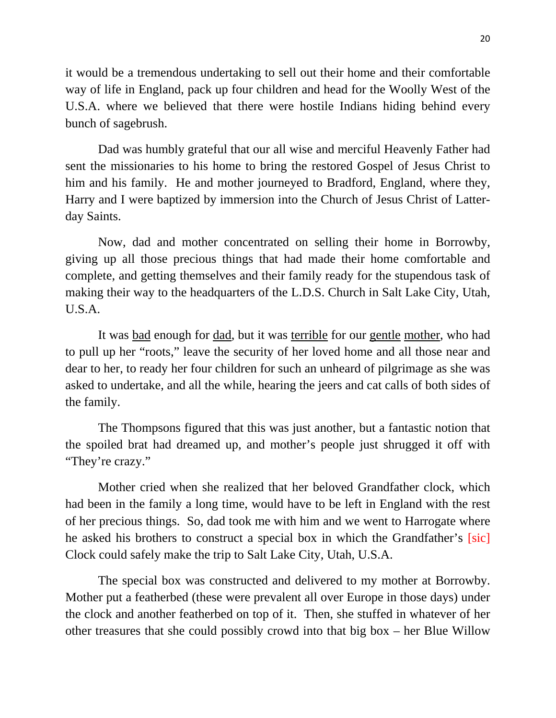it would be a tremendous undertaking to sell out their home and their comfortable way of life in England, pack up four children and head for the Woolly West of the U.S.A. where we believed that there were hostile Indians hiding behind every bunch of sagebrush.

Dad was humbly grateful that our all wise and merciful Heavenly Father had sent the missionaries to his home to bring the restored Gospel of Jesus Christ to him and his family. He and mother journeyed to Bradford, England, where they, Harry and I were baptized by immersion into the Church of Jesus Christ of Latterday Saints.

Now, dad and mother concentrated on selling their home in Borrowby, giving up all those precious things that had made their home comfortable and complete, and getting themselves and their family ready for the stupendous task of making their way to the headquarters of the L.D.S. Church in Salt Lake City, Utah, U.S.A.

It was bad enough for dad, but it was terrible for our gentle mother, who had to pull up her "roots," leave the security of her loved home and all those near and dear to her, to ready her four children for such an unheard of pilgrimage as she was asked to undertake, and all the while, hearing the jeers and cat calls of both sides of the family.

The Thompsons figured that this was just another, but a fantastic notion that the spoiled brat had dreamed up, and mother's people just shrugged it off with "They're crazy."

Mother cried when she realized that her beloved Grandfather clock, which had been in the family a long time, would have to be left in England with the rest of her precious things. So, dad took me with him and we went to Harrogate where he asked his brothers to construct a special box in which the Grandfather's [sic] Clock could safely make the trip to Salt Lake City, Utah, U.S.A.

The special box was constructed and delivered to my mother at Borrowby. Mother put a featherbed (these were prevalent all over Europe in those days) under the clock and another featherbed on top of it. Then, she stuffed in whatever of her other treasures that she could possibly crowd into that big box – her Blue Willow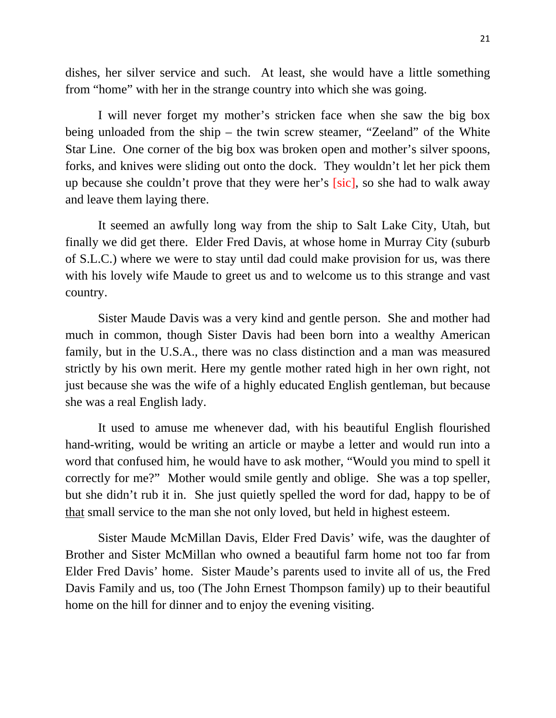dishes, her silver service and such. At least, she would have a little something from "home" with her in the strange country into which she was going.

I will never forget my mother's stricken face when she saw the big box being unloaded from the ship – the twin screw steamer, "Zeeland" of the White Star Line. One corner of the big box was broken open and mother's silver spoons, forks, and knives were sliding out onto the dock. They wouldn't let her pick them up because she couldn't prove that they were her's [sic], so she had to walk away and leave them laying there.

It seemed an awfully long way from the ship to Salt Lake City, Utah, but finally we did get there. Elder Fred Davis, at whose home in Murray City (suburb of S.L.C.) where we were to stay until dad could make provision for us, was there with his lovely wife Maude to greet us and to welcome us to this strange and vast country.

Sister Maude Davis was a very kind and gentle person. She and mother had much in common, though Sister Davis had been born into a wealthy American family, but in the U.S.A., there was no class distinction and a man was measured strictly by his own merit. Here my gentle mother rated high in her own right, not just because she was the wife of a highly educated English gentleman, but because she was a real English lady.

It used to amuse me whenever dad, with his beautiful English flourished hand-writing, would be writing an article or maybe a letter and would run into a word that confused him, he would have to ask mother, "Would you mind to spell it correctly for me?" Mother would smile gently and oblige. She was a top speller, but she didn't rub it in. She just quietly spelled the word for dad, happy to be of that small service to the man she not only loved, but held in highest esteem.

Sister Maude McMillan Davis, Elder Fred Davis' wife, was the daughter of Brother and Sister McMillan who owned a beautiful farm home not too far from Elder Fred Davis' home. Sister Maude's parents used to invite all of us, the Fred Davis Family and us, too (The John Ernest Thompson family) up to their beautiful home on the hill for dinner and to enjoy the evening visiting.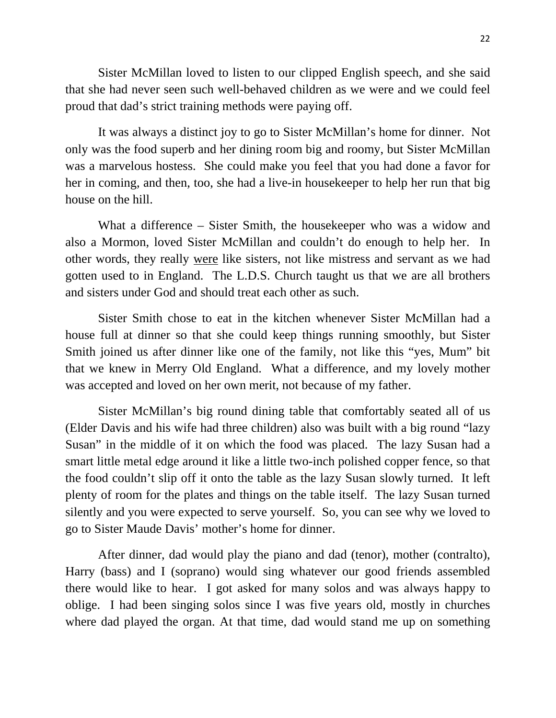Sister McMillan loved to listen to our clipped English speech, and she said that she had never seen such well-behaved children as we were and we could feel proud that dad's strict training methods were paying off.

It was always a distinct joy to go to Sister McMillan's home for dinner. Not only was the food superb and her dining room big and roomy, but Sister McMillan was a marvelous hostess. She could make you feel that you had done a favor for her in coming, and then, too, she had a live-in housekeeper to help her run that big house on the hill.

What a difference – Sister Smith, the housekeeper who was a widow and also a Mormon, loved Sister McMillan and couldn't do enough to help her. In other words, they really were like sisters, not like mistress and servant as we had gotten used to in England. The L.D.S. Church taught us that we are all brothers and sisters under God and should treat each other as such.

Sister Smith chose to eat in the kitchen whenever Sister McMillan had a house full at dinner so that she could keep things running smoothly, but Sister Smith joined us after dinner like one of the family, not like this "yes, Mum" bit that we knew in Merry Old England. What a difference, and my lovely mother was accepted and loved on her own merit, not because of my father.

Sister McMillan's big round dining table that comfortably seated all of us (Elder Davis and his wife had three children) also was built with a big round "lazy Susan" in the middle of it on which the food was placed. The lazy Susan had a smart little metal edge around it like a little two-inch polished copper fence, so that the food couldn't slip off it onto the table as the lazy Susan slowly turned. It left plenty of room for the plates and things on the table itself. The lazy Susan turned silently and you were expected to serve yourself. So, you can see why we loved to go to Sister Maude Davis' mother's home for dinner.

After dinner, dad would play the piano and dad (tenor), mother (contralto), Harry (bass) and I (soprano) would sing whatever our good friends assembled there would like to hear. I got asked for many solos and was always happy to oblige. I had been singing solos since I was five years old, mostly in churches where dad played the organ. At that time, dad would stand me up on something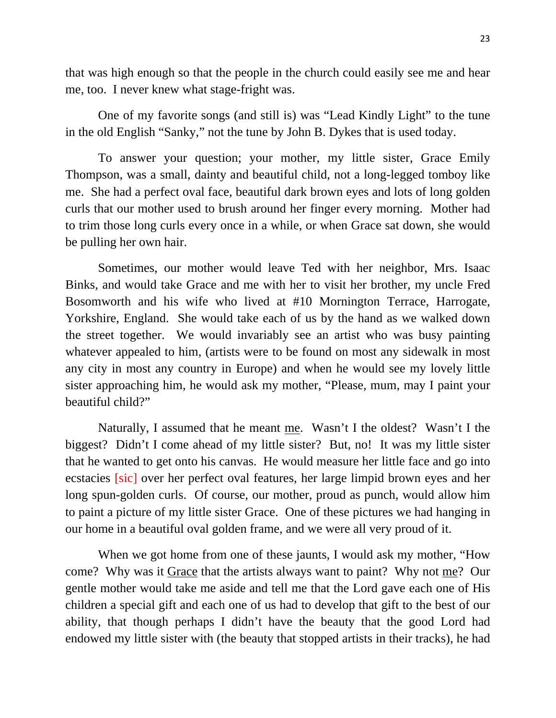that was high enough so that the people in the church could easily see me and hear me, too. I never knew what stage-fright was.

One of my favorite songs (and still is) was "Lead Kindly Light" to the tune in the old English "Sanky," not the tune by John B. Dykes that is used today.

To answer your question; your mother, my little sister, Grace Emily Thompson, was a small, dainty and beautiful child, not a long-legged tomboy like me. She had a perfect oval face, beautiful dark brown eyes and lots of long golden curls that our mother used to brush around her finger every morning. Mother had to trim those long curls every once in a while, or when Grace sat down, she would be pulling her own hair.

Sometimes, our mother would leave Ted with her neighbor, Mrs. Isaac Binks, and would take Grace and me with her to visit her brother, my uncle Fred Bosomworth and his wife who lived at #10 Mornington Terrace, Harrogate, Yorkshire, England. She would take each of us by the hand as we walked down the street together. We would invariably see an artist who was busy painting whatever appealed to him, (artists were to be found on most any sidewalk in most any city in most any country in Europe) and when he would see my lovely little sister approaching him, he would ask my mother, "Please, mum, may I paint your beautiful child?"

Naturally, I assumed that he meant me. Wasn't I the oldest? Wasn't I the biggest? Didn't I come ahead of my little sister? But, no! It was my little sister that he wanted to get onto his canvas. He would measure her little face and go into ecstacies [sic] over her perfect oval features, her large limpid brown eyes and her long spun-golden curls. Of course, our mother, proud as punch, would allow him to paint a picture of my little sister Grace. One of these pictures we had hanging in our home in a beautiful oval golden frame, and we were all very proud of it.

When we got home from one of these jaunts, I would ask my mother, "How come? Why was it Grace that the artists always want to paint? Why not me? Our gentle mother would take me aside and tell me that the Lord gave each one of His children a special gift and each one of us had to develop that gift to the best of our ability, that though perhaps I didn't have the beauty that the good Lord had endowed my little sister with (the beauty that stopped artists in their tracks), he had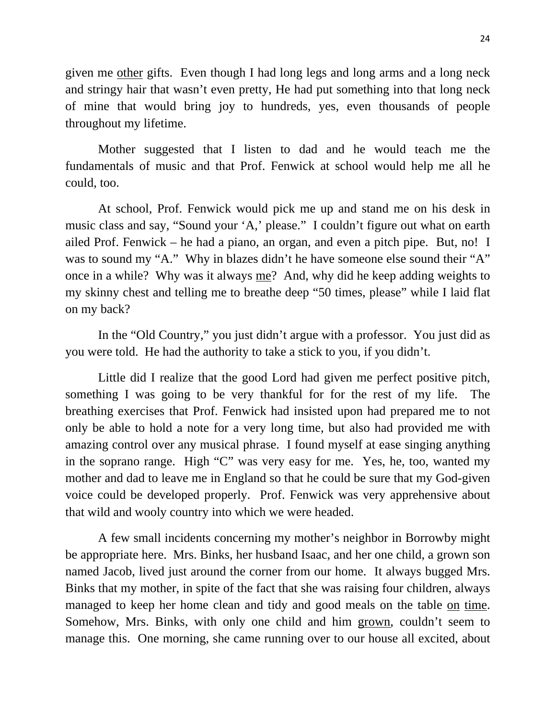given me other gifts. Even though I had long legs and long arms and a long neck and stringy hair that wasn't even pretty, He had put something into that long neck of mine that would bring joy to hundreds, yes, even thousands of people throughout my lifetime.

Mother suggested that I listen to dad and he would teach me the fundamentals of music and that Prof. Fenwick at school would help me all he could, too.

At school, Prof. Fenwick would pick me up and stand me on his desk in music class and say, "Sound your 'A,' please." I couldn't figure out what on earth ailed Prof. Fenwick – he had a piano, an organ, and even a pitch pipe. But, no! I was to sound my "A." Why in blazes didn't he have someone else sound their "A" once in a while? Why was it always me? And, why did he keep adding weights to my skinny chest and telling me to breathe deep "50 times, please" while I laid flat on my back?

In the "Old Country," you just didn't argue with a professor. You just did as you were told. He had the authority to take a stick to you, if you didn't.

Little did I realize that the good Lord had given me perfect positive pitch, something I was going to be very thankful for for the rest of my life. The breathing exercises that Prof. Fenwick had insisted upon had prepared me to not only be able to hold a note for a very long time, but also had provided me with amazing control over any musical phrase. I found myself at ease singing anything in the soprano range. High "C" was very easy for me. Yes, he, too, wanted my mother and dad to leave me in England so that he could be sure that my God-given voice could be developed properly. Prof. Fenwick was very apprehensive about that wild and wooly country into which we were headed.

A few small incidents concerning my mother's neighbor in Borrowby might be appropriate here. Mrs. Binks, her husband Isaac, and her one child, a grown son named Jacob, lived just around the corner from our home. It always bugged Mrs. Binks that my mother, in spite of the fact that she was raising four children, always managed to keep her home clean and tidy and good meals on the table on time. Somehow, Mrs. Binks, with only one child and him grown, couldn't seem to manage this. One morning, she came running over to our house all excited, about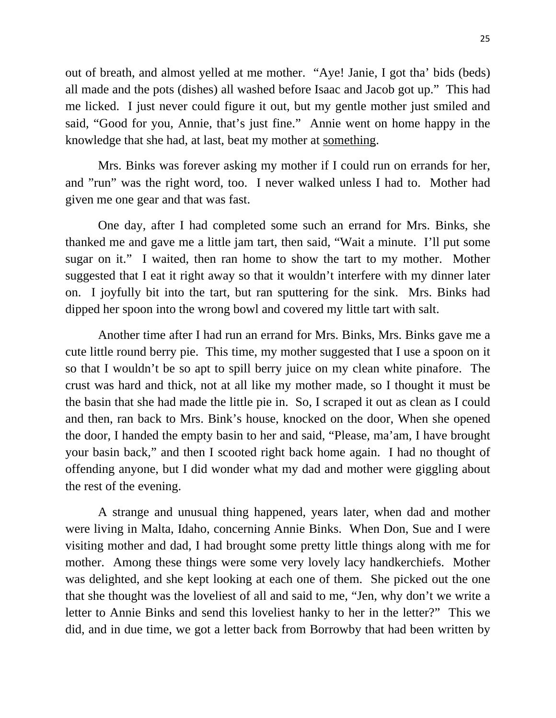out of breath, and almost yelled at me mother. "Aye! Janie, I got tha' bids (beds) all made and the pots (dishes) all washed before Isaac and Jacob got up." This had me licked. I just never could figure it out, but my gentle mother just smiled and said, "Good for you, Annie, that's just fine." Annie went on home happy in the knowledge that she had, at last, beat my mother at something.

Mrs. Binks was forever asking my mother if I could run on errands for her, and "run" was the right word, too. I never walked unless I had to. Mother had given me one gear and that was fast.

One day, after I had completed some such an errand for Mrs. Binks, she thanked me and gave me a little jam tart, then said, "Wait a minute. I'll put some sugar on it." I waited, then ran home to show the tart to my mother. Mother suggested that I eat it right away so that it wouldn't interfere with my dinner later on. I joyfully bit into the tart, but ran sputtering for the sink. Mrs. Binks had dipped her spoon into the wrong bowl and covered my little tart with salt.

Another time after I had run an errand for Mrs. Binks, Mrs. Binks gave me a cute little round berry pie. This time, my mother suggested that I use a spoon on it so that I wouldn't be so apt to spill berry juice on my clean white pinafore. The crust was hard and thick, not at all like my mother made, so I thought it must be the basin that she had made the little pie in. So, I scraped it out as clean as I could and then, ran back to Mrs. Bink's house, knocked on the door, When she opened the door, I handed the empty basin to her and said, "Please, ma'am, I have brought your basin back," and then I scooted right back home again. I had no thought of offending anyone, but I did wonder what my dad and mother were giggling about the rest of the evening.

A strange and unusual thing happened, years later, when dad and mother were living in Malta, Idaho, concerning Annie Binks. When Don, Sue and I were visiting mother and dad, I had brought some pretty little things along with me for mother. Among these things were some very lovely lacy handkerchiefs. Mother was delighted, and she kept looking at each one of them. She picked out the one that she thought was the loveliest of all and said to me, "Jen, why don't we write a letter to Annie Binks and send this loveliest hanky to her in the letter?" This we did, and in due time, we got a letter back from Borrowby that had been written by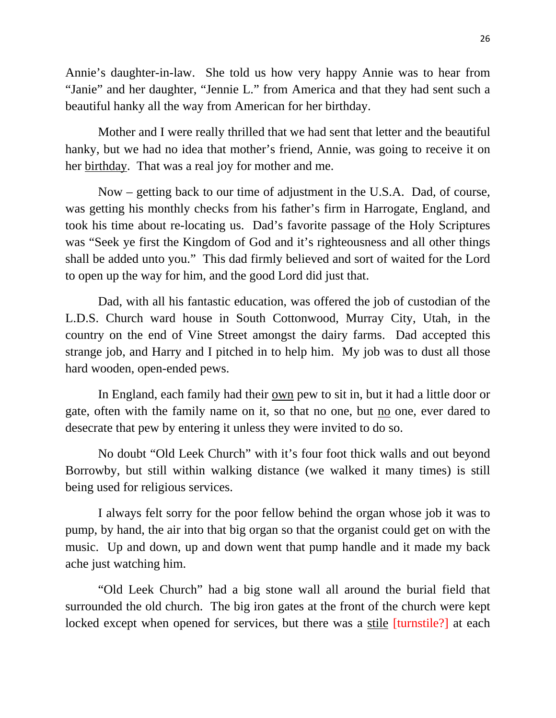Annie's daughter-in-law. She told us how very happy Annie was to hear from "Janie" and her daughter, "Jennie L." from America and that they had sent such a beautiful hanky all the way from American for her birthday.

Mother and I were really thrilled that we had sent that letter and the beautiful hanky, but we had no idea that mother's friend, Annie, was going to receive it on her birthday. That was a real joy for mother and me.

Now – getting back to our time of adjustment in the U.S.A. Dad, of course, was getting his monthly checks from his father's firm in Harrogate, England, and took his time about re-locating us. Dad's favorite passage of the Holy Scriptures was "Seek ye first the Kingdom of God and it's righteousness and all other things shall be added unto you." This dad firmly believed and sort of waited for the Lord to open up the way for him, and the good Lord did just that.

Dad, with all his fantastic education, was offered the job of custodian of the L.D.S. Church ward house in South Cottonwood, Murray City, Utah, in the country on the end of Vine Street amongst the dairy farms. Dad accepted this strange job, and Harry and I pitched in to help him. My job was to dust all those hard wooden, open-ended pews.

In England, each family had their own pew to sit in, but it had a little door or gate, often with the family name on it, so that no one, but no one, ever dared to desecrate that pew by entering it unless they were invited to do so.

No doubt "Old Leek Church" with it's four foot thick walls and out beyond Borrowby, but still within walking distance (we walked it many times) is still being used for religious services.

I always felt sorry for the poor fellow behind the organ whose job it was to pump, by hand, the air into that big organ so that the organist could get on with the music. Up and down, up and down went that pump handle and it made my back ache just watching him.

"Old Leek Church" had a big stone wall all around the burial field that surrounded the old church. The big iron gates at the front of the church were kept locked except when opened for services, but there was a stile *[turnstile?]* at each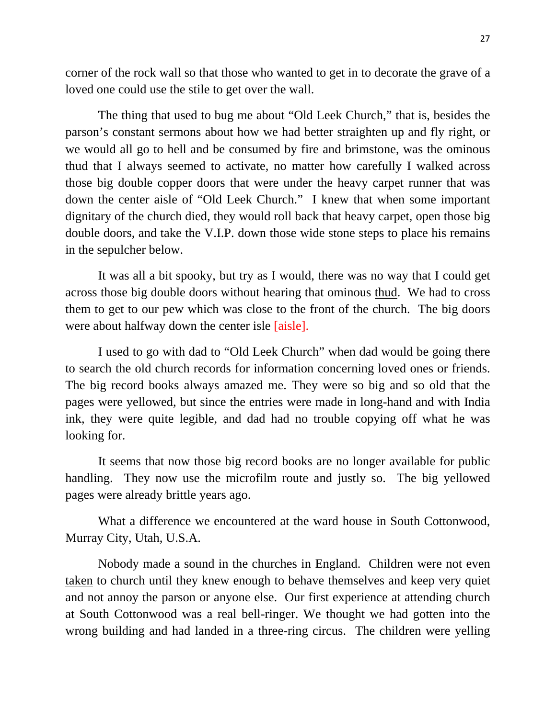corner of the rock wall so that those who wanted to get in to decorate the grave of a loved one could use the stile to get over the wall.

The thing that used to bug me about "Old Leek Church," that is, besides the parson's constant sermons about how we had better straighten up and fly right, or we would all go to hell and be consumed by fire and brimstone, was the ominous thud that I always seemed to activate, no matter how carefully I walked across those big double copper doors that were under the heavy carpet runner that was down the center aisle of "Old Leek Church." I knew that when some important dignitary of the church died, they would roll back that heavy carpet, open those big double doors, and take the V.I.P. down those wide stone steps to place his remains in the sepulcher below.

It was all a bit spooky, but try as I would, there was no way that I could get across those big double doors without hearing that ominous thud. We had to cross them to get to our pew which was close to the front of the church. The big doors were about halfway down the center isle [aisle].

I used to go with dad to "Old Leek Church" when dad would be going there to search the old church records for information concerning loved ones or friends. The big record books always amazed me. They were so big and so old that the pages were yellowed, but since the entries were made in long-hand and with India ink, they were quite legible, and dad had no trouble copying off what he was looking for.

It seems that now those big record books are no longer available for public handling. They now use the microfilm route and justly so. The big yellowed pages were already brittle years ago.

What a difference we encountered at the ward house in South Cottonwood, Murray City, Utah, U.S.A.

Nobody made a sound in the churches in England. Children were not even taken to church until they knew enough to behave themselves and keep very quiet and not annoy the parson or anyone else. Our first experience at attending church at South Cottonwood was a real bell-ringer. We thought we had gotten into the wrong building and had landed in a three-ring circus. The children were yelling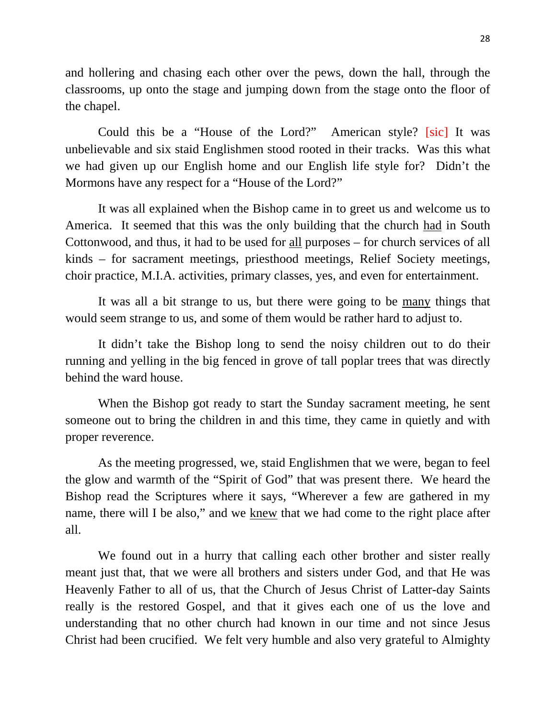and hollering and chasing each other over the pews, down the hall, through the classrooms, up onto the stage and jumping down from the stage onto the floor of the chapel.

Could this be a "House of the Lord?" American style? [sic] It was unbelievable and six staid Englishmen stood rooted in their tracks. Was this what we had given up our English home and our English life style for? Didn't the Mormons have any respect for a "House of the Lord?"

It was all explained when the Bishop came in to greet us and welcome us to America. It seemed that this was the only building that the church had in South Cottonwood, and thus, it had to be used for all purposes – for church services of all kinds – for sacrament meetings, priesthood meetings, Relief Society meetings, choir practice, M.I.A. activities, primary classes, yes, and even for entertainment.

It was all a bit strange to us, but there were going to be many things that would seem strange to us, and some of them would be rather hard to adjust to.

It didn't take the Bishop long to send the noisy children out to do their running and yelling in the big fenced in grove of tall poplar trees that was directly behind the ward house.

When the Bishop got ready to start the Sunday sacrament meeting, he sent someone out to bring the children in and this time, they came in quietly and with proper reverence.

As the meeting progressed, we, staid Englishmen that we were, began to feel the glow and warmth of the "Spirit of God" that was present there. We heard the Bishop read the Scriptures where it says, "Wherever a few are gathered in my name, there will I be also," and we knew that we had come to the right place after all.

We found out in a hurry that calling each other brother and sister really meant just that, that we were all brothers and sisters under God, and that He was Heavenly Father to all of us, that the Church of Jesus Christ of Latter-day Saints really is the restored Gospel, and that it gives each one of us the love and understanding that no other church had known in our time and not since Jesus Christ had been crucified. We felt very humble and also very grateful to Almighty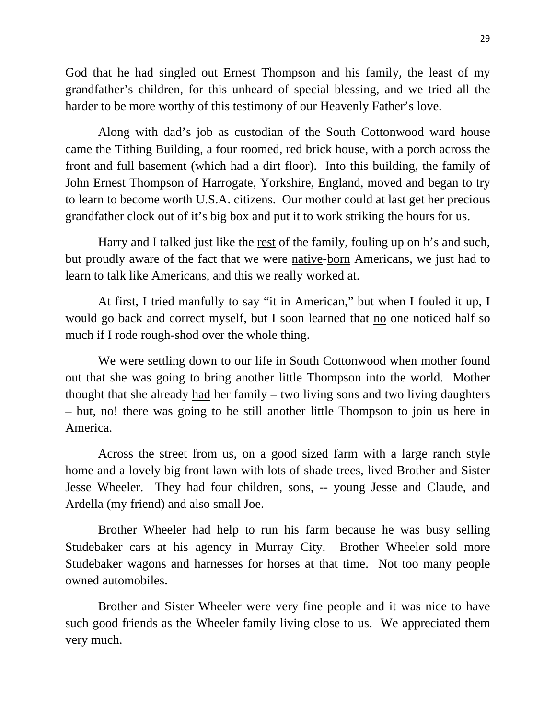God that he had singled out Ernest Thompson and his family, the least of my grandfather's children, for this unheard of special blessing, and we tried all the harder to be more worthy of this testimony of our Heavenly Father's love.

Along with dad's job as custodian of the South Cottonwood ward house came the Tithing Building, a four roomed, red brick house, with a porch across the front and full basement (which had a dirt floor). Into this building, the family of John Ernest Thompson of Harrogate, Yorkshire, England, moved and began to try to learn to become worth U.S.A. citizens. Our mother could at last get her precious grandfather clock out of it's big box and put it to work striking the hours for us.

Harry and I talked just like the rest of the family, fouling up on h's and such, but proudly aware of the fact that we were native-born Americans, we just had to learn to talk like Americans, and this we really worked at.

At first, I tried manfully to say "it in American," but when I fouled it up, I would go back and correct myself, but I soon learned that no one noticed half so much if I rode rough-shod over the whole thing.

We were settling down to our life in South Cottonwood when mother found out that she was going to bring another little Thompson into the world. Mother thought that she already had her family – two living sons and two living daughters – but, no! there was going to be still another little Thompson to join us here in America.

Across the street from us, on a good sized farm with a large ranch style home and a lovely big front lawn with lots of shade trees, lived Brother and Sister Jesse Wheeler. They had four children, sons, -- young Jesse and Claude, and Ardella (my friend) and also small Joe.

Brother Wheeler had help to run his farm because he was busy selling Studebaker cars at his agency in Murray City. Brother Wheeler sold more Studebaker wagons and harnesses for horses at that time. Not too many people owned automobiles.

Brother and Sister Wheeler were very fine people and it was nice to have such good friends as the Wheeler family living close to us. We appreciated them very much.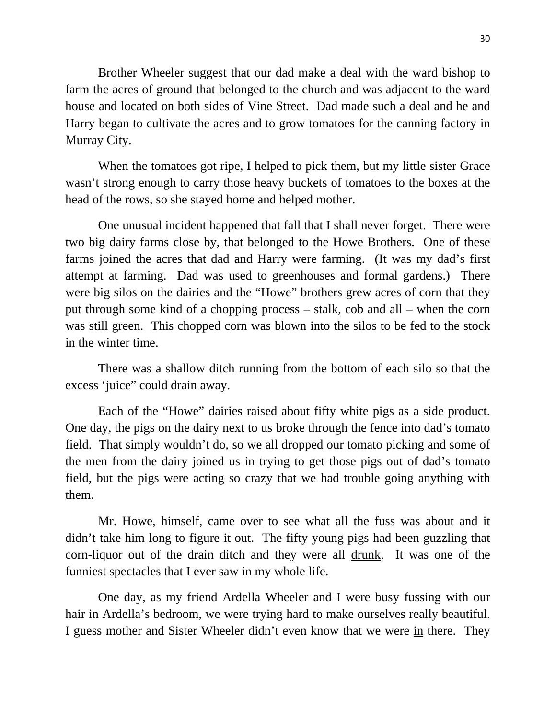Brother Wheeler suggest that our dad make a deal with the ward bishop to farm the acres of ground that belonged to the church and was adjacent to the ward house and located on both sides of Vine Street. Dad made such a deal and he and Harry began to cultivate the acres and to grow tomatoes for the canning factory in Murray City.

When the tomatoes got ripe, I helped to pick them, but my little sister Grace wasn't strong enough to carry those heavy buckets of tomatoes to the boxes at the head of the rows, so she stayed home and helped mother.

One unusual incident happened that fall that I shall never forget. There were two big dairy farms close by, that belonged to the Howe Brothers. One of these farms joined the acres that dad and Harry were farming. (It was my dad's first attempt at farming. Dad was used to greenhouses and formal gardens.) There were big silos on the dairies and the "Howe" brothers grew acres of corn that they put through some kind of a chopping process – stalk, cob and all – when the corn was still green. This chopped corn was blown into the silos to be fed to the stock in the winter time.

There was a shallow ditch running from the bottom of each silo so that the excess 'juice" could drain away.

Each of the "Howe" dairies raised about fifty white pigs as a side product. One day, the pigs on the dairy next to us broke through the fence into dad's tomato field. That simply wouldn't do, so we all dropped our tomato picking and some of the men from the dairy joined us in trying to get those pigs out of dad's tomato field, but the pigs were acting so crazy that we had trouble going anything with them.

Mr. Howe, himself, came over to see what all the fuss was about and it didn't take him long to figure it out. The fifty young pigs had been guzzling that corn-liquor out of the drain ditch and they were all drunk. It was one of the funniest spectacles that I ever saw in my whole life.

One day, as my friend Ardella Wheeler and I were busy fussing with our hair in Ardella's bedroom, we were trying hard to make ourselves really beautiful. I guess mother and Sister Wheeler didn't even know that we were in there. They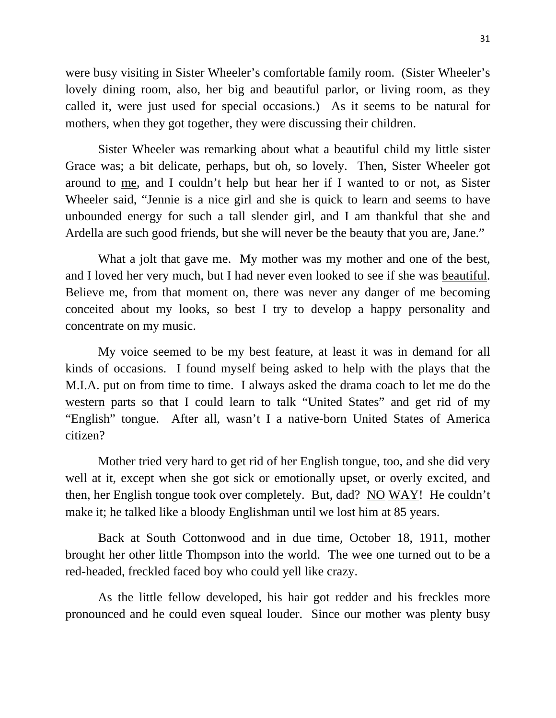were busy visiting in Sister Wheeler's comfortable family room. (Sister Wheeler's lovely dining room, also, her big and beautiful parlor, or living room, as they called it, were just used for special occasions.) As it seems to be natural for mothers, when they got together, they were discussing their children.

Sister Wheeler was remarking about what a beautiful child my little sister Grace was; a bit delicate, perhaps, but oh, so lovely. Then, Sister Wheeler got around to me, and I couldn't help but hear her if I wanted to or not, as Sister Wheeler said, "Jennie is a nice girl and she is quick to learn and seems to have unbounded energy for such a tall slender girl, and I am thankful that she and Ardella are such good friends, but she will never be the beauty that you are, Jane."

What a jolt that gave me. My mother was my mother and one of the best, and I loved her very much, but I had never even looked to see if she was beautiful. Believe me, from that moment on, there was never any danger of me becoming conceited about my looks, so best I try to develop a happy personality and concentrate on my music.

My voice seemed to be my best feature, at least it was in demand for all kinds of occasions. I found myself being asked to help with the plays that the M.I.A. put on from time to time. I always asked the drama coach to let me do the western parts so that I could learn to talk "United States" and get rid of my "English" tongue. After all, wasn't I a native-born United States of America citizen?

Mother tried very hard to get rid of her English tongue, too, and she did very well at it, except when she got sick or emotionally upset, or overly excited, and then, her English tongue took over completely. But, dad? NO WAY! He couldn't make it; he talked like a bloody Englishman until we lost him at 85 years.

Back at South Cottonwood and in due time, October 18, 1911, mother brought her other little Thompson into the world. The wee one turned out to be a red-headed, freckled faced boy who could yell like crazy.

As the little fellow developed, his hair got redder and his freckles more pronounced and he could even squeal louder. Since our mother was plenty busy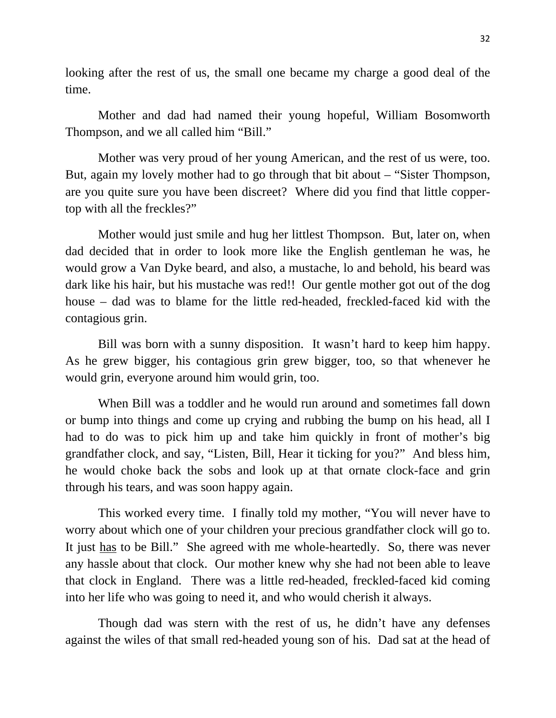looking after the rest of us, the small one became my charge a good deal of the time.

Mother and dad had named their young hopeful, William Bosomworth Thompson, and we all called him "Bill."

Mother was very proud of her young American, and the rest of us were, too. But, again my lovely mother had to go through that bit about – "Sister Thompson, are you quite sure you have been discreet? Where did you find that little coppertop with all the freckles?"

Mother would just smile and hug her littlest Thompson. But, later on, when dad decided that in order to look more like the English gentleman he was, he would grow a Van Dyke beard, and also, a mustache, lo and behold, his beard was dark like his hair, but his mustache was red!! Our gentle mother got out of the dog house – dad was to blame for the little red-headed, freckled-faced kid with the contagious grin.

Bill was born with a sunny disposition. It wasn't hard to keep him happy. As he grew bigger, his contagious grin grew bigger, too, so that whenever he would grin, everyone around him would grin, too.

When Bill was a toddler and he would run around and sometimes fall down or bump into things and come up crying and rubbing the bump on his head, all I had to do was to pick him up and take him quickly in front of mother's big grandfather clock, and say, "Listen, Bill, Hear it ticking for you?" And bless him, he would choke back the sobs and look up at that ornate clock-face and grin through his tears, and was soon happy again.

This worked every time. I finally told my mother, "You will never have to worry about which one of your children your precious grandfather clock will go to. It just has to be Bill." She agreed with me whole-heartedly. So, there was never any hassle about that clock. Our mother knew why she had not been able to leave that clock in England. There was a little red-headed, freckled-faced kid coming into her life who was going to need it, and who would cherish it always.

Though dad was stern with the rest of us, he didn't have any defenses against the wiles of that small red-headed young son of his. Dad sat at the head of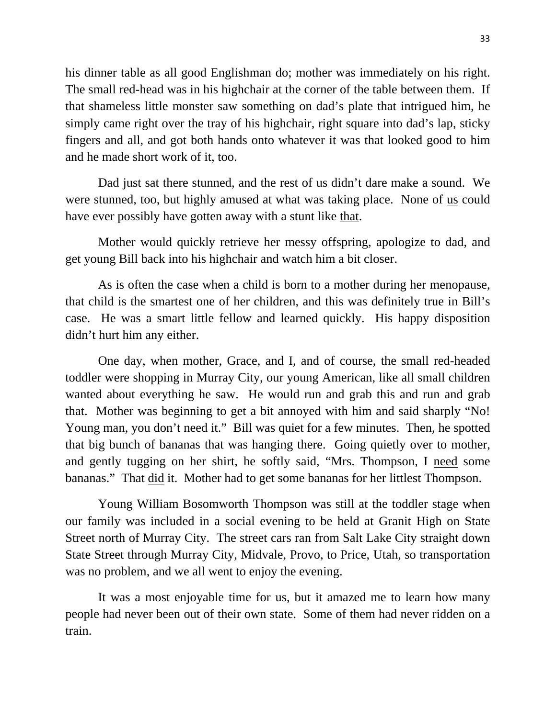his dinner table as all good Englishman do; mother was immediately on his right. The small red-head was in his highchair at the corner of the table between them. If that shameless little monster saw something on dad's plate that intrigued him, he simply came right over the tray of his highchair, right square into dad's lap, sticky fingers and all, and got both hands onto whatever it was that looked good to him and he made short work of it, too.

Dad just sat there stunned, and the rest of us didn't dare make a sound. We were stunned, too, but highly amused at what was taking place. None of us could have ever possibly have gotten away with a stunt like that.

Mother would quickly retrieve her messy offspring, apologize to dad, and get young Bill back into his highchair and watch him a bit closer.

As is often the case when a child is born to a mother during her menopause, that child is the smartest one of her children, and this was definitely true in Bill's case. He was a smart little fellow and learned quickly. His happy disposition didn't hurt him any either.

One day, when mother, Grace, and I, and of course, the small red-headed toddler were shopping in Murray City, our young American, like all small children wanted about everything he saw. He would run and grab this and run and grab that. Mother was beginning to get a bit annoyed with him and said sharply "No! Young man, you don't need it." Bill was quiet for a few minutes. Then, he spotted that big bunch of bananas that was hanging there. Going quietly over to mother, and gently tugging on her shirt, he softly said, "Mrs. Thompson, I need some bananas." That did it. Mother had to get some bananas for her littlest Thompson.

Young William Bosomworth Thompson was still at the toddler stage when our family was included in a social evening to be held at Granit High on State Street north of Murray City. The street cars ran from Salt Lake City straight down State Street through Murray City, Midvale, Provo, to Price, Utah, so transportation was no problem, and we all went to enjoy the evening.

It was a most enjoyable time for us, but it amazed me to learn how many people had never been out of their own state. Some of them had never ridden on a train.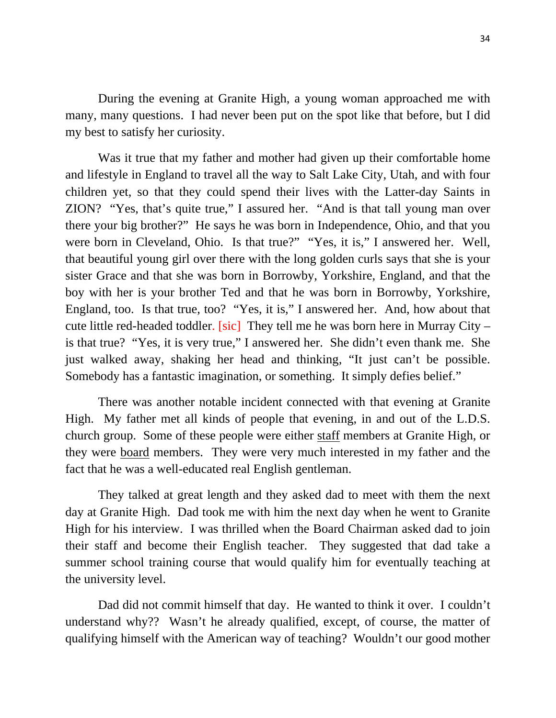During the evening at Granite High, a young woman approached me with many, many questions. I had never been put on the spot like that before, but I did my best to satisfy her curiosity.

Was it true that my father and mother had given up their comfortable home and lifestyle in England to travel all the way to Salt Lake City, Utah, and with four children yet, so that they could spend their lives with the Latter-day Saints in ZION? "Yes, that's quite true," I assured her. "And is that tall young man over there your big brother?" He says he was born in Independence, Ohio, and that you were born in Cleveland, Ohio. Is that true?" "Yes, it is," I answered her. Well, that beautiful young girl over there with the long golden curls says that she is your sister Grace and that she was born in Borrowby, Yorkshire, England, and that the boy with her is your brother Ted and that he was born in Borrowby, Yorkshire, England, too. Is that true, too? "Yes, it is," I answered her. And, how about that cute little red-headed toddler. [sic] They tell me he was born here in Murray City – is that true? "Yes, it is very true," I answered her. She didn't even thank me. She just walked away, shaking her head and thinking, "It just can't be possible. Somebody has a fantastic imagination, or something. It simply defies belief."

There was another notable incident connected with that evening at Granite High. My father met all kinds of people that evening, in and out of the L.D.S. church group. Some of these people were either staff members at Granite High, or they were board members. They were very much interested in my father and the fact that he was a well-educated real English gentleman.

They talked at great length and they asked dad to meet with them the next day at Granite High. Dad took me with him the next day when he went to Granite High for his interview. I was thrilled when the Board Chairman asked dad to join their staff and become their English teacher. They suggested that dad take a summer school training course that would qualify him for eventually teaching at the university level.

Dad did not commit himself that day. He wanted to think it over. I couldn't understand why?? Wasn't he already qualified, except, of course, the matter of qualifying himself with the American way of teaching? Wouldn't our good mother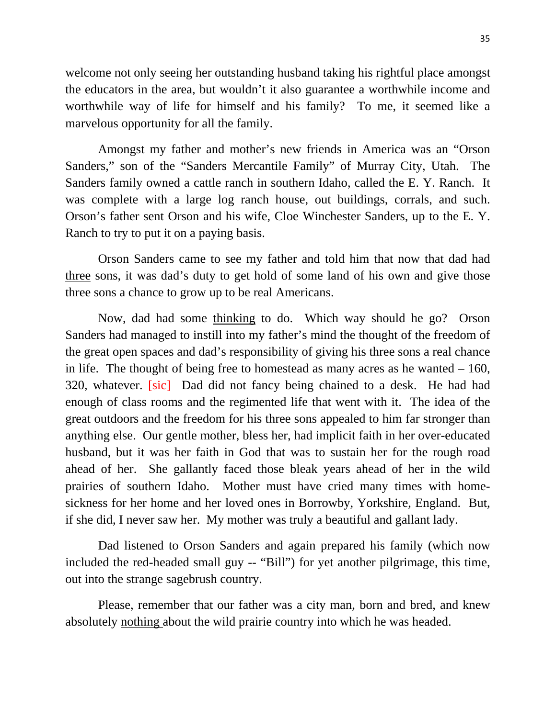welcome not only seeing her outstanding husband taking his rightful place amongst the educators in the area, but wouldn't it also guarantee a worthwhile income and worthwhile way of life for himself and his family? To me, it seemed like a marvelous opportunity for all the family.

Amongst my father and mother's new friends in America was an "Orson Sanders," son of the "Sanders Mercantile Family" of Murray City, Utah. The Sanders family owned a cattle ranch in southern Idaho, called the E. Y. Ranch. It was complete with a large log ranch house, out buildings, corrals, and such. Orson's father sent Orson and his wife, Cloe Winchester Sanders, up to the E. Y. Ranch to try to put it on a paying basis.

Orson Sanders came to see my father and told him that now that dad had three sons, it was dad's duty to get hold of some land of his own and give those three sons a chance to grow up to be real Americans.

Now, dad had some thinking to do. Which way should he go? Orson Sanders had managed to instill into my father's mind the thought of the freedom of the great open spaces and dad's responsibility of giving his three sons a real chance in life. The thought of being free to homestead as many acres as he wanted – 160, 320, whatever. [sic] Dad did not fancy being chained to a desk. He had had enough of class rooms and the regimented life that went with it. The idea of the great outdoors and the freedom for his three sons appealed to him far stronger than anything else. Our gentle mother, bless her, had implicit faith in her over-educated husband, but it was her faith in God that was to sustain her for the rough road ahead of her. She gallantly faced those bleak years ahead of her in the wild prairies of southern Idaho. Mother must have cried many times with homesickness for her home and her loved ones in Borrowby, Yorkshire, England. But, if she did, I never saw her. My mother was truly a beautiful and gallant lady.

Dad listened to Orson Sanders and again prepared his family (which now included the red-headed small guy -- "Bill") for yet another pilgrimage, this time, out into the strange sagebrush country.

Please, remember that our father was a city man, born and bred, and knew absolutely nothing about the wild prairie country into which he was headed.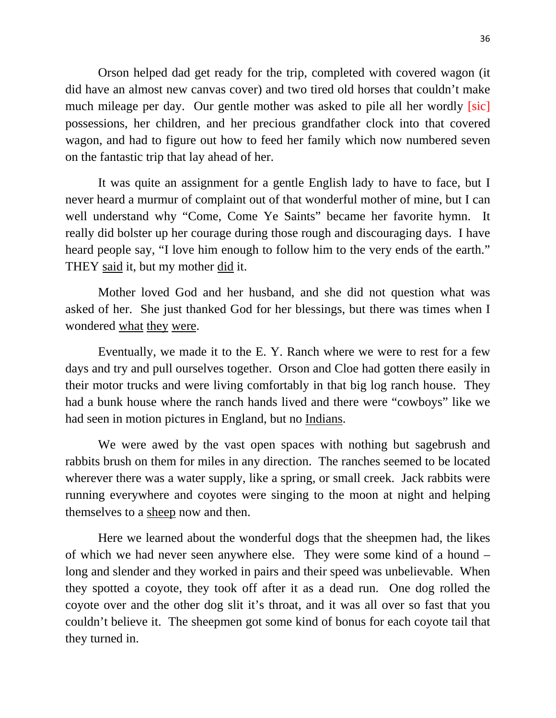Orson helped dad get ready for the trip, completed with covered wagon (it did have an almost new canvas cover) and two tired old horses that couldn't make much mileage per day. Our gentle mother was asked to pile all her wordly *[sic]* possessions, her children, and her precious grandfather clock into that covered wagon, and had to figure out how to feed her family which now numbered seven on the fantastic trip that lay ahead of her.

It was quite an assignment for a gentle English lady to have to face, but I never heard a murmur of complaint out of that wonderful mother of mine, but I can well understand why "Come, Come Ye Saints" became her favorite hymn. It really did bolster up her courage during those rough and discouraging days. I have heard people say, "I love him enough to follow him to the very ends of the earth." THEY said it, but my mother did it.

Mother loved God and her husband, and she did not question what was asked of her. She just thanked God for her blessings, but there was times when I wondered what they were.

Eventually, we made it to the E. Y. Ranch where we were to rest for a few days and try and pull ourselves together. Orson and Cloe had gotten there easily in their motor trucks and were living comfortably in that big log ranch house. They had a bunk house where the ranch hands lived and there were "cowboys" like we had seen in motion pictures in England, but no Indians.

We were awed by the vast open spaces with nothing but sagebrush and rabbits brush on them for miles in any direction. The ranches seemed to be located wherever there was a water supply, like a spring, or small creek. Jack rabbits were running everywhere and coyotes were singing to the moon at night and helping themselves to a sheep now and then.

Here we learned about the wonderful dogs that the sheepmen had, the likes of which we had never seen anywhere else. They were some kind of a hound – long and slender and they worked in pairs and their speed was unbelievable. When they spotted a coyote, they took off after it as a dead run. One dog rolled the coyote over and the other dog slit it's throat, and it was all over so fast that you couldn't believe it. The sheepmen got some kind of bonus for each coyote tail that they turned in.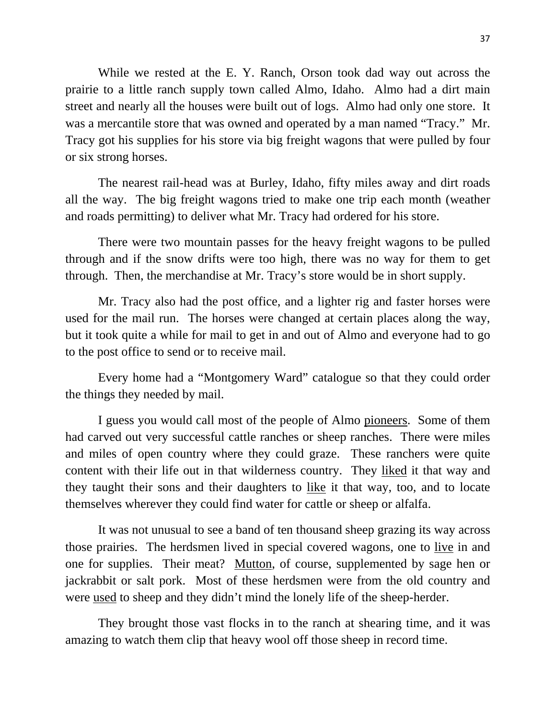While we rested at the E. Y. Ranch, Orson took dad way out across the prairie to a little ranch supply town called Almo, Idaho. Almo had a dirt main street and nearly all the houses were built out of logs. Almo had only one store. It was a mercantile store that was owned and operated by a man named "Tracy." Mr. Tracy got his supplies for his store via big freight wagons that were pulled by four or six strong horses.

The nearest rail-head was at Burley, Idaho, fifty miles away and dirt roads all the way. The big freight wagons tried to make one trip each month (weather and roads permitting) to deliver what Mr. Tracy had ordered for his store.

There were two mountain passes for the heavy freight wagons to be pulled through and if the snow drifts were too high, there was no way for them to get through. Then, the merchandise at Mr. Tracy's store would be in short supply.

Mr. Tracy also had the post office, and a lighter rig and faster horses were used for the mail run. The horses were changed at certain places along the way, but it took quite a while for mail to get in and out of Almo and everyone had to go to the post office to send or to receive mail.

Every home had a "Montgomery Ward" catalogue so that they could order the things they needed by mail.

I guess you would call most of the people of Almo pioneers. Some of them had carved out very successful cattle ranches or sheep ranches. There were miles and miles of open country where they could graze. These ranchers were quite content with their life out in that wilderness country. They liked it that way and they taught their sons and their daughters to like it that way, too, and to locate themselves wherever they could find water for cattle or sheep or alfalfa.

It was not unusual to see a band of ten thousand sheep grazing its way across those prairies. The herdsmen lived in special covered wagons, one to live in and one for supplies. Their meat? Mutton, of course, supplemented by sage hen or jackrabbit or salt pork. Most of these herdsmen were from the old country and were used to sheep and they didn't mind the lonely life of the sheep-herder.

They brought those vast flocks in to the ranch at shearing time, and it was amazing to watch them clip that heavy wool off those sheep in record time.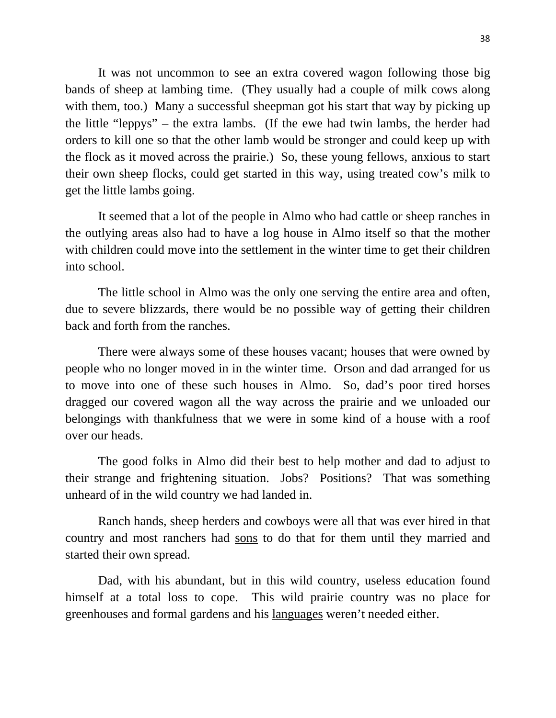It was not uncommon to see an extra covered wagon following those big bands of sheep at lambing time. (They usually had a couple of milk cows along with them, too.) Many a successful sheepman got his start that way by picking up the little "leppys" – the extra lambs. (If the ewe had twin lambs, the herder had orders to kill one so that the other lamb would be stronger and could keep up with the flock as it moved across the prairie.) So, these young fellows, anxious to start their own sheep flocks, could get started in this way, using treated cow's milk to get the little lambs going.

It seemed that a lot of the people in Almo who had cattle or sheep ranches in the outlying areas also had to have a log house in Almo itself so that the mother with children could move into the settlement in the winter time to get their children into school.

The little school in Almo was the only one serving the entire area and often, due to severe blizzards, there would be no possible way of getting their children back and forth from the ranches.

There were always some of these houses vacant; houses that were owned by people who no longer moved in in the winter time. Orson and dad arranged for us to move into one of these such houses in Almo. So, dad's poor tired horses dragged our covered wagon all the way across the prairie and we unloaded our belongings with thankfulness that we were in some kind of a house with a roof over our heads.

The good folks in Almo did their best to help mother and dad to adjust to their strange and frightening situation. Jobs? Positions? That was something unheard of in the wild country we had landed in.

Ranch hands, sheep herders and cowboys were all that was ever hired in that country and most ranchers had sons to do that for them until they married and started their own spread.

Dad, with his abundant, but in this wild country, useless education found himself at a total loss to cope. This wild prairie country was no place for greenhouses and formal gardens and his languages weren't needed either.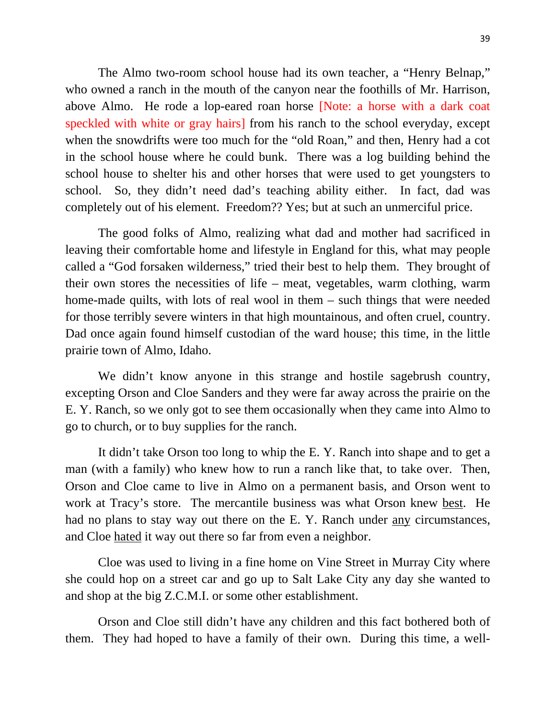The Almo two-room school house had its own teacher, a "Henry Belnap," who owned a ranch in the mouth of the canyon near the foothills of Mr. Harrison, above Almo. He rode a lop-eared roan horse [Note: a horse with a dark coat speckled with white or gray hairs] from his ranch to the school everyday, except when the snowdrifts were too much for the "old Roan," and then, Henry had a cot in the school house where he could bunk. There was a log building behind the school house to shelter his and other horses that were used to get youngsters to school. So, they didn't need dad's teaching ability either. In fact, dad was completely out of his element. Freedom?? Yes; but at such an unmerciful price.

The good folks of Almo, realizing what dad and mother had sacrificed in leaving their comfortable home and lifestyle in England for this, what may people called a "God forsaken wilderness," tried their best to help them. They brought of their own stores the necessities of life – meat, vegetables, warm clothing, warm home-made quilts, with lots of real wool in them – such things that were needed for those terribly severe winters in that high mountainous, and often cruel, country. Dad once again found himself custodian of the ward house; this time, in the little prairie town of Almo, Idaho.

We didn't know anyone in this strange and hostile sagebrush country, excepting Orson and Cloe Sanders and they were far away across the prairie on the E. Y. Ranch, so we only got to see them occasionally when they came into Almo to go to church, or to buy supplies for the ranch.

It didn't take Orson too long to whip the E. Y. Ranch into shape and to get a man (with a family) who knew how to run a ranch like that, to take over. Then, Orson and Cloe came to live in Almo on a permanent basis, and Orson went to work at Tracy's store. The mercantile business was what Orson knew best. He had no plans to stay way out there on the E. Y. Ranch under any circumstances, and Cloe hated it way out there so far from even a neighbor.

Cloe was used to living in a fine home on Vine Street in Murray City where she could hop on a street car and go up to Salt Lake City any day she wanted to and shop at the big Z.C.M.I. or some other establishment.

Orson and Cloe still didn't have any children and this fact bothered both of them. They had hoped to have a family of their own. During this time, a well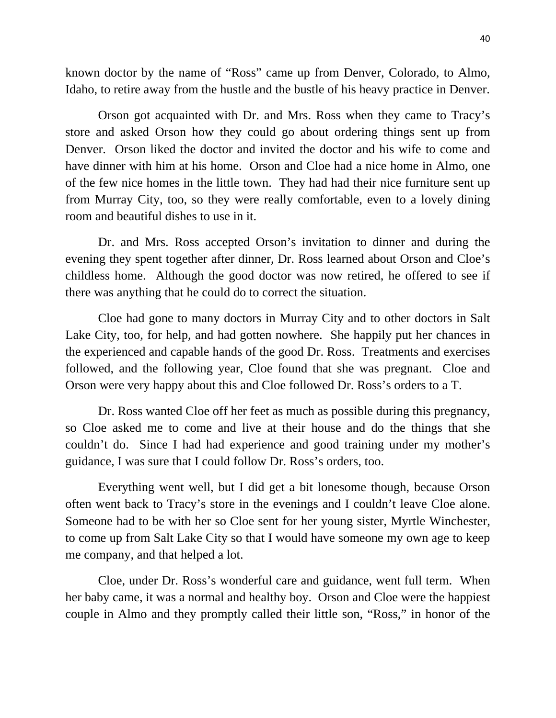known doctor by the name of "Ross" came up from Denver, Colorado, to Almo, Idaho, to retire away from the hustle and the bustle of his heavy practice in Denver.

Orson got acquainted with Dr. and Mrs. Ross when they came to Tracy's store and asked Orson how they could go about ordering things sent up from Denver. Orson liked the doctor and invited the doctor and his wife to come and have dinner with him at his home. Orson and Cloe had a nice home in Almo, one of the few nice homes in the little town. They had had their nice furniture sent up from Murray City, too, so they were really comfortable, even to a lovely dining room and beautiful dishes to use in it.

Dr. and Mrs. Ross accepted Orson's invitation to dinner and during the evening they spent together after dinner, Dr. Ross learned about Orson and Cloe's childless home. Although the good doctor was now retired, he offered to see if there was anything that he could do to correct the situation.

Cloe had gone to many doctors in Murray City and to other doctors in Salt Lake City, too, for help, and had gotten nowhere. She happily put her chances in the experienced and capable hands of the good Dr. Ross. Treatments and exercises followed, and the following year, Cloe found that she was pregnant. Cloe and Orson were very happy about this and Cloe followed Dr. Ross's orders to a T.

Dr. Ross wanted Cloe off her feet as much as possible during this pregnancy, so Cloe asked me to come and live at their house and do the things that she couldn't do. Since I had had experience and good training under my mother's guidance, I was sure that I could follow Dr. Ross's orders, too.

Everything went well, but I did get a bit lonesome though, because Orson often went back to Tracy's store in the evenings and I couldn't leave Cloe alone. Someone had to be with her so Cloe sent for her young sister, Myrtle Winchester, to come up from Salt Lake City so that I would have someone my own age to keep me company, and that helped a lot.

Cloe, under Dr. Ross's wonderful care and guidance, went full term. When her baby came, it was a normal and healthy boy. Orson and Cloe were the happiest couple in Almo and they promptly called their little son, "Ross," in honor of the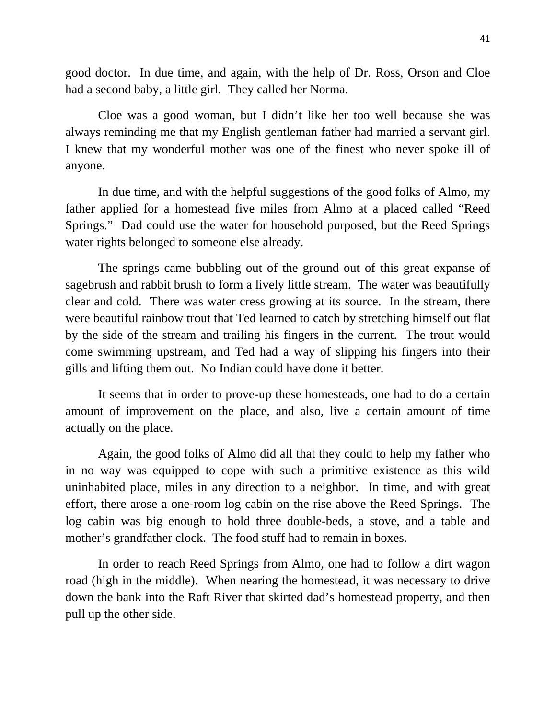good doctor. In due time, and again, with the help of Dr. Ross, Orson and Cloe had a second baby, a little girl. They called her Norma.

Cloe was a good woman, but I didn't like her too well because she was always reminding me that my English gentleman father had married a servant girl. I knew that my wonderful mother was one of the finest who never spoke ill of anyone.

In due time, and with the helpful suggestions of the good folks of Almo, my father applied for a homestead five miles from Almo at a placed called "Reed Springs." Dad could use the water for household purposed, but the Reed Springs water rights belonged to someone else already.

The springs came bubbling out of the ground out of this great expanse of sagebrush and rabbit brush to form a lively little stream. The water was beautifully clear and cold. There was water cress growing at its source. In the stream, there were beautiful rainbow trout that Ted learned to catch by stretching himself out flat by the side of the stream and trailing his fingers in the current. The trout would come swimming upstream, and Ted had a way of slipping his fingers into their gills and lifting them out. No Indian could have done it better.

It seems that in order to prove-up these homesteads, one had to do a certain amount of improvement on the place, and also, live a certain amount of time actually on the place.

Again, the good folks of Almo did all that they could to help my father who in no way was equipped to cope with such a primitive existence as this wild uninhabited place, miles in any direction to a neighbor. In time, and with great effort, there arose a one-room log cabin on the rise above the Reed Springs. The log cabin was big enough to hold three double-beds, a stove, and a table and mother's grandfather clock. The food stuff had to remain in boxes.

In order to reach Reed Springs from Almo, one had to follow a dirt wagon road (high in the middle). When nearing the homestead, it was necessary to drive down the bank into the Raft River that skirted dad's homestead property, and then pull up the other side.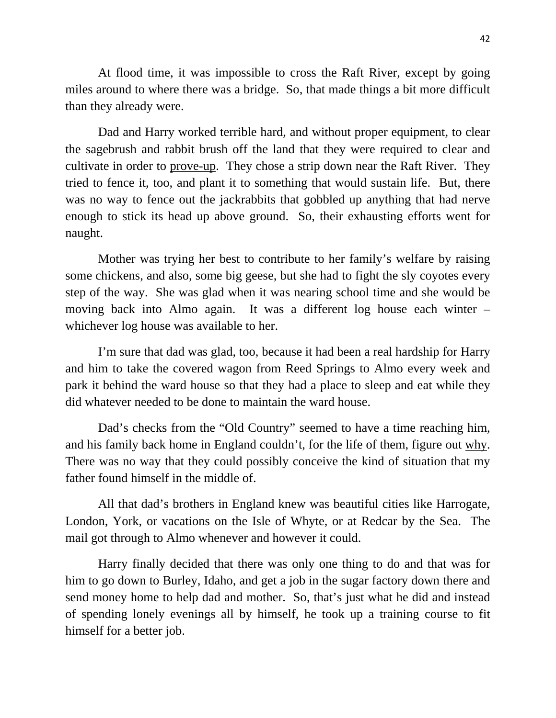At flood time, it was impossible to cross the Raft River, except by going miles around to where there was a bridge. So, that made things a bit more difficult than they already were.

Dad and Harry worked terrible hard, and without proper equipment, to clear the sagebrush and rabbit brush off the land that they were required to clear and cultivate in order to prove-up. They chose a strip down near the Raft River. They tried to fence it, too, and plant it to something that would sustain life. But, there was no way to fence out the jackrabbits that gobbled up anything that had nerve enough to stick its head up above ground. So, their exhausting efforts went for naught.

Mother was trying her best to contribute to her family's welfare by raising some chickens, and also, some big geese, but she had to fight the sly coyotes every step of the way. She was glad when it was nearing school time and she would be moving back into Almo again. It was a different log house each winter – whichever log house was available to her.

I'm sure that dad was glad, too, because it had been a real hardship for Harry and him to take the covered wagon from Reed Springs to Almo every week and park it behind the ward house so that they had a place to sleep and eat while they did whatever needed to be done to maintain the ward house.

Dad's checks from the "Old Country" seemed to have a time reaching him, and his family back home in England couldn't, for the life of them, figure out why. There was no way that they could possibly conceive the kind of situation that my father found himself in the middle of.

All that dad's brothers in England knew was beautiful cities like Harrogate, London, York, or vacations on the Isle of Whyte, or at Redcar by the Sea. The mail got through to Almo whenever and however it could.

Harry finally decided that there was only one thing to do and that was for him to go down to Burley, Idaho, and get a job in the sugar factory down there and send money home to help dad and mother. So, that's just what he did and instead of spending lonely evenings all by himself, he took up a training course to fit himself for a better job.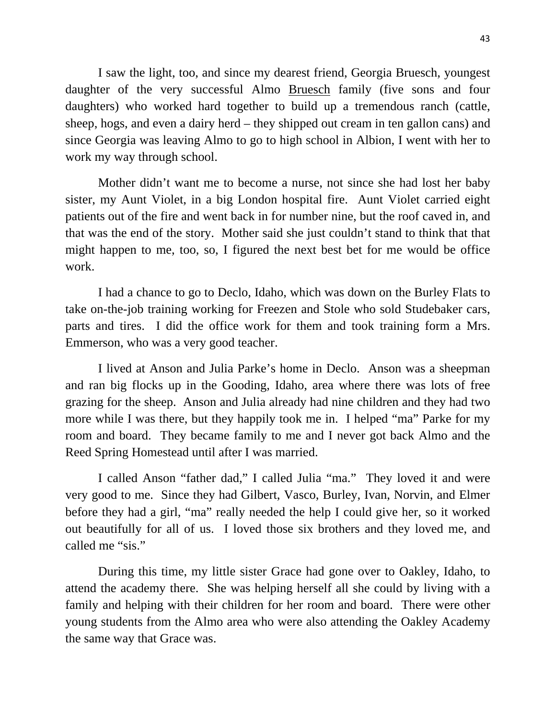I saw the light, too, and since my dearest friend, Georgia Bruesch, youngest daughter of the very successful Almo Bruesch family (five sons and four daughters) who worked hard together to build up a tremendous ranch (cattle, sheep, hogs, and even a dairy herd – they shipped out cream in ten gallon cans) and since Georgia was leaving Almo to go to high school in Albion, I went with her to work my way through school.

Mother didn't want me to become a nurse, not since she had lost her baby sister, my Aunt Violet, in a big London hospital fire. Aunt Violet carried eight patients out of the fire and went back in for number nine, but the roof caved in, and that was the end of the story. Mother said she just couldn't stand to think that that might happen to me, too, so, I figured the next best bet for me would be office work.

I had a chance to go to Declo, Idaho, which was down on the Burley Flats to take on-the-job training working for Freezen and Stole who sold Studebaker cars, parts and tires. I did the office work for them and took training form a Mrs. Emmerson, who was a very good teacher.

I lived at Anson and Julia Parke's home in Declo. Anson was a sheepman and ran big flocks up in the Gooding, Idaho, area where there was lots of free grazing for the sheep. Anson and Julia already had nine children and they had two more while I was there, but they happily took me in. I helped "ma" Parke for my room and board. They became family to me and I never got back Almo and the Reed Spring Homestead until after I was married.

I called Anson "father dad," I called Julia "ma." They loved it and were very good to me. Since they had Gilbert, Vasco, Burley, Ivan, Norvin, and Elmer before they had a girl, "ma" really needed the help I could give her, so it worked out beautifully for all of us. I loved those six brothers and they loved me, and called me "sis."

During this time, my little sister Grace had gone over to Oakley, Idaho, to attend the academy there. She was helping herself all she could by living with a family and helping with their children for her room and board. There were other young students from the Almo area who were also attending the Oakley Academy the same way that Grace was.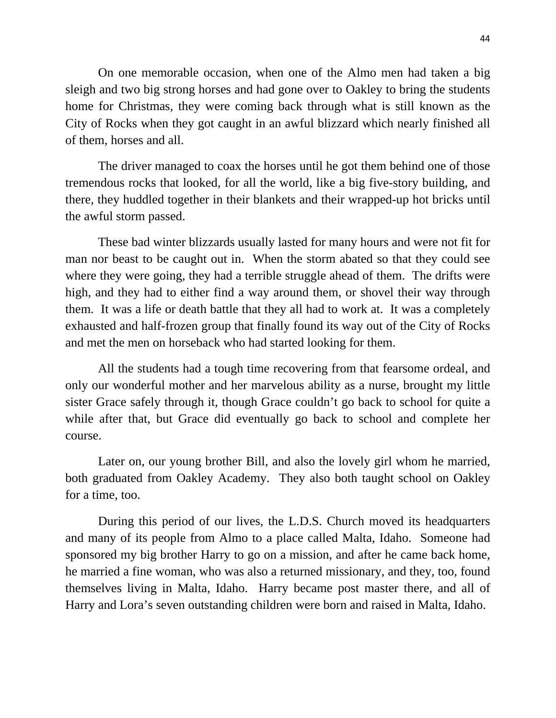On one memorable occasion, when one of the Almo men had taken a big sleigh and two big strong horses and had gone over to Oakley to bring the students home for Christmas, they were coming back through what is still known as the City of Rocks when they got caught in an awful blizzard which nearly finished all of them, horses and all.

The driver managed to coax the horses until he got them behind one of those tremendous rocks that looked, for all the world, like a big five-story building, and there, they huddled together in their blankets and their wrapped-up hot bricks until the awful storm passed.

These bad winter blizzards usually lasted for many hours and were not fit for man nor beast to be caught out in. When the storm abated so that they could see where they were going, they had a terrible struggle ahead of them. The drifts were high, and they had to either find a way around them, or shovel their way through them. It was a life or death battle that they all had to work at. It was a completely exhausted and half-frozen group that finally found its way out of the City of Rocks and met the men on horseback who had started looking for them.

All the students had a tough time recovering from that fearsome ordeal, and only our wonderful mother and her marvelous ability as a nurse, brought my little sister Grace safely through it, though Grace couldn't go back to school for quite a while after that, but Grace did eventually go back to school and complete her course.

Later on, our young brother Bill, and also the lovely girl whom he married, both graduated from Oakley Academy. They also both taught school on Oakley for a time, too.

During this period of our lives, the L.D.S. Church moved its headquarters and many of its people from Almo to a place called Malta, Idaho. Someone had sponsored my big brother Harry to go on a mission, and after he came back home, he married a fine woman, who was also a returned missionary, and they, too, found themselves living in Malta, Idaho. Harry became post master there, and all of Harry and Lora's seven outstanding children were born and raised in Malta, Idaho.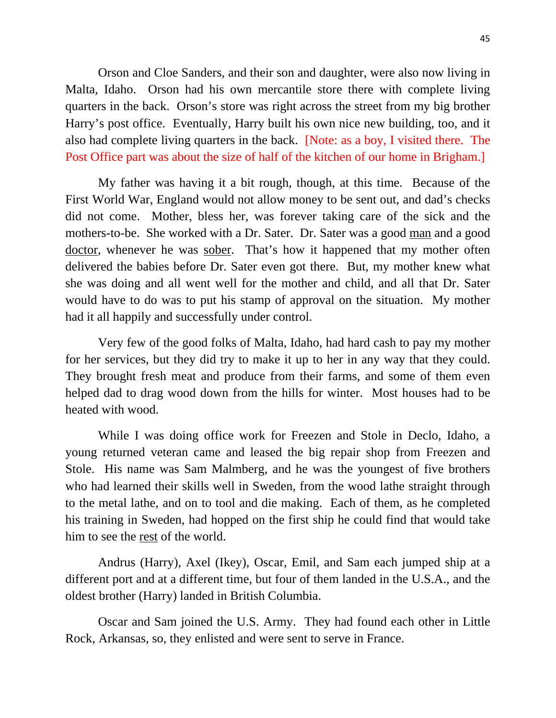Orson and Cloe Sanders, and their son and daughter, were also now living in Malta, Idaho. Orson had his own mercantile store there with complete living quarters in the back. Orson's store was right across the street from my big brother Harry's post office. Eventually, Harry built his own nice new building, too, and it also had complete living quarters in the back. [Note: as a boy, I visited there. The Post Office part was about the size of half of the kitchen of our home in Brigham.]

My father was having it a bit rough, though, at this time. Because of the First World War, England would not allow money to be sent out, and dad's checks did not come. Mother, bless her, was forever taking care of the sick and the mothers-to-be. She worked with a Dr. Sater. Dr. Sater was a good man and a good doctor, whenever he was sober. That's how it happened that my mother often delivered the babies before Dr. Sater even got there. But, my mother knew what she was doing and all went well for the mother and child, and all that Dr. Sater would have to do was to put his stamp of approval on the situation. My mother had it all happily and successfully under control.

Very few of the good folks of Malta, Idaho, had hard cash to pay my mother for her services, but they did try to make it up to her in any way that they could. They brought fresh meat and produce from their farms, and some of them even helped dad to drag wood down from the hills for winter. Most houses had to be heated with wood.

While I was doing office work for Freezen and Stole in Declo, Idaho, a young returned veteran came and leased the big repair shop from Freezen and Stole. His name was Sam Malmberg, and he was the youngest of five brothers who had learned their skills well in Sweden, from the wood lathe straight through to the metal lathe, and on to tool and die making. Each of them, as he completed his training in Sweden, had hopped on the first ship he could find that would take him to see the rest of the world.

Andrus (Harry), Axel (Ikey), Oscar, Emil, and Sam each jumped ship at a different port and at a different time, but four of them landed in the U.S.A., and the oldest brother (Harry) landed in British Columbia.

Oscar and Sam joined the U.S. Army. They had found each other in Little Rock, Arkansas, so, they enlisted and were sent to serve in France.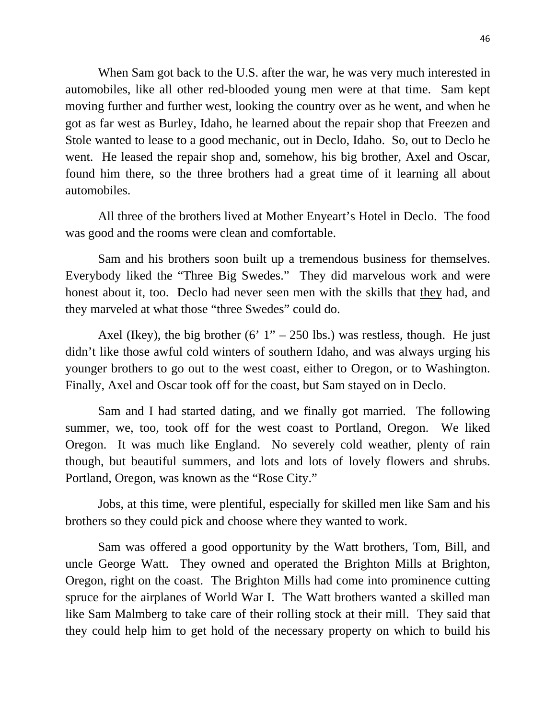When Sam got back to the U.S. after the war, he was very much interested in automobiles, like all other red-blooded young men were at that time. Sam kept moving further and further west, looking the country over as he went, and when he got as far west as Burley, Idaho, he learned about the repair shop that Freezen and Stole wanted to lease to a good mechanic, out in Declo, Idaho. So, out to Declo he went. He leased the repair shop and, somehow, his big brother, Axel and Oscar, found him there, so the three brothers had a great time of it learning all about automobiles.

All three of the brothers lived at Mother Enyeart's Hotel in Declo. The food was good and the rooms were clean and comfortable.

Sam and his brothers soon built up a tremendous business for themselves. Everybody liked the "Three Big Swedes." They did marvelous work and were honest about it, too. Declo had never seen men with the skills that they had, and they marveled at what those "three Swedes" could do.

Axel (Ikey), the big brother  $(6' 1'' - 250$  lbs.) was restless, though. He just didn't like those awful cold winters of southern Idaho, and was always urging his younger brothers to go out to the west coast, either to Oregon, or to Washington. Finally, Axel and Oscar took off for the coast, but Sam stayed on in Declo.

Sam and I had started dating, and we finally got married. The following summer, we, too, took off for the west coast to Portland, Oregon. We liked Oregon. It was much like England. No severely cold weather, plenty of rain though, but beautiful summers, and lots and lots of lovely flowers and shrubs. Portland, Oregon, was known as the "Rose City."

Jobs, at this time, were plentiful, especially for skilled men like Sam and his brothers so they could pick and choose where they wanted to work.

Sam was offered a good opportunity by the Watt brothers, Tom, Bill, and uncle George Watt. They owned and operated the Brighton Mills at Brighton, Oregon, right on the coast. The Brighton Mills had come into prominence cutting spruce for the airplanes of World War I. The Watt brothers wanted a skilled man like Sam Malmberg to take care of their rolling stock at their mill. They said that they could help him to get hold of the necessary property on which to build his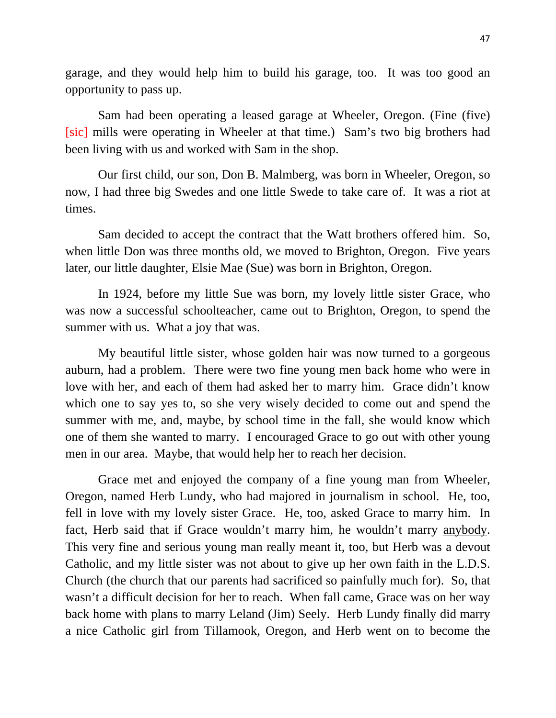garage, and they would help him to build his garage, too. It was too good an opportunity to pass up.

Sam had been operating a leased garage at Wheeler, Oregon. (Fine (five) [sic] mills were operating in Wheeler at that time.) Sam's two big brothers had been living with us and worked with Sam in the shop.

Our first child, our son, Don B. Malmberg, was born in Wheeler, Oregon, so now, I had three big Swedes and one little Swede to take care of. It was a riot at times.

Sam decided to accept the contract that the Watt brothers offered him. So, when little Don was three months old, we moved to Brighton, Oregon. Five years later, our little daughter, Elsie Mae (Sue) was born in Brighton, Oregon.

In 1924, before my little Sue was born, my lovely little sister Grace, who was now a successful schoolteacher, came out to Brighton, Oregon, to spend the summer with us. What a joy that was.

My beautiful little sister, whose golden hair was now turned to a gorgeous auburn, had a problem. There were two fine young men back home who were in love with her, and each of them had asked her to marry him. Grace didn't know which one to say yes to, so she very wisely decided to come out and spend the summer with me, and, maybe, by school time in the fall, she would know which one of them she wanted to marry. I encouraged Grace to go out with other young men in our area. Maybe, that would help her to reach her decision.

Grace met and enjoyed the company of a fine young man from Wheeler, Oregon, named Herb Lundy, who had majored in journalism in school. He, too, fell in love with my lovely sister Grace. He, too, asked Grace to marry him. In fact, Herb said that if Grace wouldn't marry him, he wouldn't marry anybody. This very fine and serious young man really meant it, too, but Herb was a devout Catholic, and my little sister was not about to give up her own faith in the L.D.S. Church (the church that our parents had sacrificed so painfully much for). So, that wasn't a difficult decision for her to reach. When fall came, Grace was on her way back home with plans to marry Leland (Jim) Seely. Herb Lundy finally did marry a nice Catholic girl from Tillamook, Oregon, and Herb went on to become the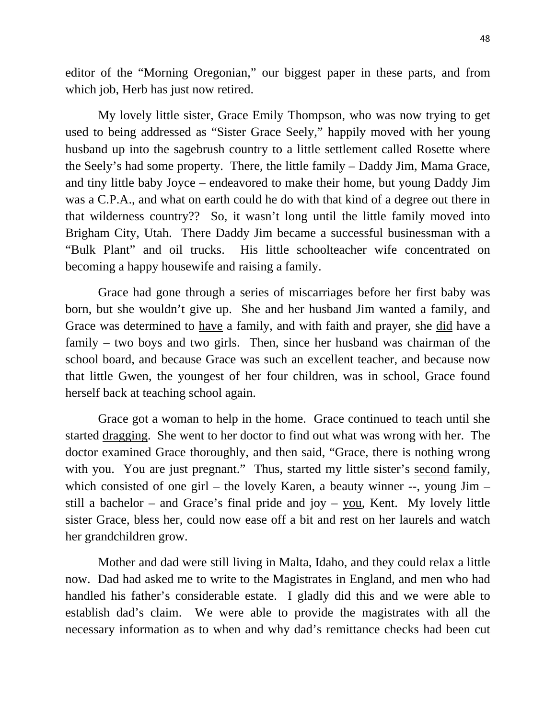editor of the "Morning Oregonian," our biggest paper in these parts, and from which job, Herb has just now retired.

My lovely little sister, Grace Emily Thompson, who was now trying to get used to being addressed as "Sister Grace Seely," happily moved with her young husband up into the sagebrush country to a little settlement called Rosette where the Seely's had some property. There, the little family – Daddy Jim, Mama Grace, and tiny little baby Joyce – endeavored to make their home, but young Daddy Jim was a C.P.A., and what on earth could he do with that kind of a degree out there in that wilderness country?? So, it wasn't long until the little family moved into Brigham City, Utah. There Daddy Jim became a successful businessman with a "Bulk Plant" and oil trucks. His little schoolteacher wife concentrated on becoming a happy housewife and raising a family.

Grace had gone through a series of miscarriages before her first baby was born, but she wouldn't give up. She and her husband Jim wanted a family, and Grace was determined to have a family, and with faith and prayer, she did have a family – two boys and two girls. Then, since her husband was chairman of the school board, and because Grace was such an excellent teacher, and because now that little Gwen, the youngest of her four children, was in school, Grace found herself back at teaching school again.

Grace got a woman to help in the home. Grace continued to teach until she started dragging. She went to her doctor to find out what was wrong with her. The doctor examined Grace thoroughly, and then said, "Grace, there is nothing wrong with you. You are just pregnant." Thus, started my little sister's second family, which consisted of one girl – the lovely Karen, a beauty winner --, young Jim – still a bachelor – and Grace's final pride and joy – you, Kent. My lovely little sister Grace, bless her, could now ease off a bit and rest on her laurels and watch her grandchildren grow.

Mother and dad were still living in Malta, Idaho, and they could relax a little now. Dad had asked me to write to the Magistrates in England, and men who had handled his father's considerable estate. I gladly did this and we were able to establish dad's claim. We were able to provide the magistrates with all the necessary information as to when and why dad's remittance checks had been cut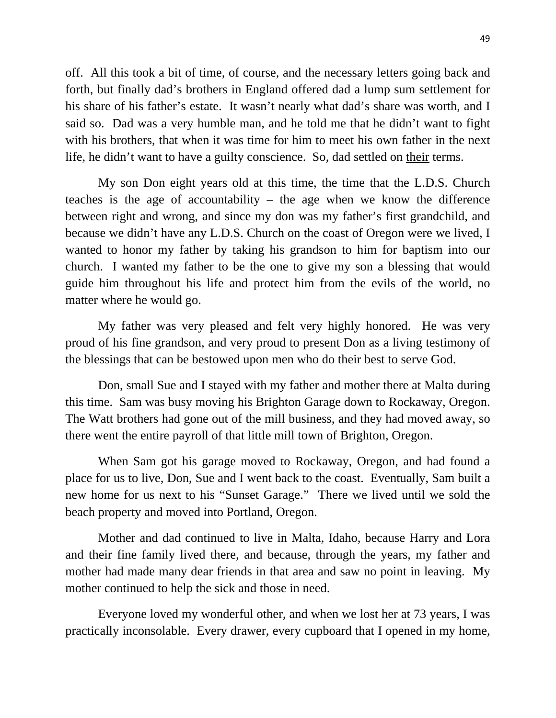off. All this took a bit of time, of course, and the necessary letters going back and forth, but finally dad's brothers in England offered dad a lump sum settlement for his share of his father's estate. It wasn't nearly what dad's share was worth, and I said so. Dad was a very humble man, and he told me that he didn't want to fight with his brothers, that when it was time for him to meet his own father in the next life, he didn't want to have a guilty conscience. So, dad settled on their terms.

My son Don eight years old at this time, the time that the L.D.S. Church teaches is the age of accountability – the age when we know the difference between right and wrong, and since my don was my father's first grandchild, and because we didn't have any L.D.S. Church on the coast of Oregon were we lived, I wanted to honor my father by taking his grandson to him for baptism into our church. I wanted my father to be the one to give my son a blessing that would guide him throughout his life and protect him from the evils of the world, no matter where he would go.

My father was very pleased and felt very highly honored. He was very proud of his fine grandson, and very proud to present Don as a living testimony of the blessings that can be bestowed upon men who do their best to serve God.

Don, small Sue and I stayed with my father and mother there at Malta during this time. Sam was busy moving his Brighton Garage down to Rockaway, Oregon. The Watt brothers had gone out of the mill business, and they had moved away, so there went the entire payroll of that little mill town of Brighton, Oregon.

When Sam got his garage moved to Rockaway, Oregon, and had found a place for us to live, Don, Sue and I went back to the coast. Eventually, Sam built a new home for us next to his "Sunset Garage." There we lived until we sold the beach property and moved into Portland, Oregon.

Mother and dad continued to live in Malta, Idaho, because Harry and Lora and their fine family lived there, and because, through the years, my father and mother had made many dear friends in that area and saw no point in leaving. My mother continued to help the sick and those in need.

Everyone loved my wonderful other, and when we lost her at 73 years, I was practically inconsolable. Every drawer, every cupboard that I opened in my home,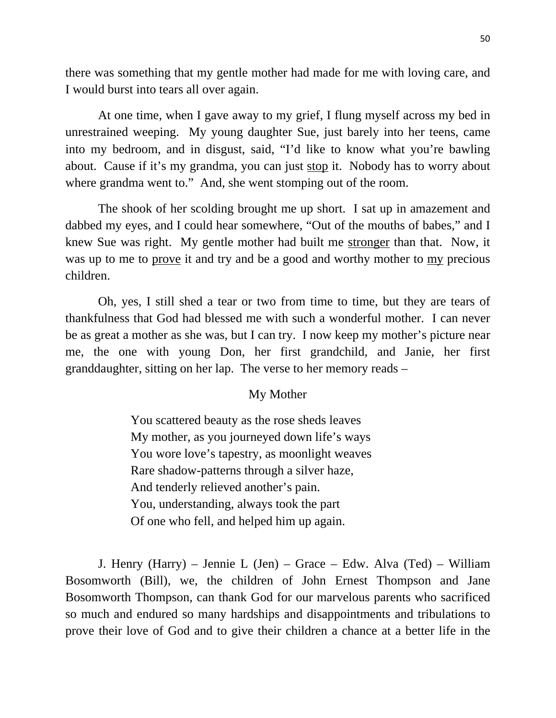there was something that my gentle mother had made for me with loving care, and I would burst into tears all over again.

At one time, when I gave away to my grief, I flung myself across my bed in unrestrained weeping. My young daughter Sue, just barely into her teens, came into my bedroom, and in disgust, said, "I'd like to know what you're bawling about. Cause if it's my grandma, you can just stop it. Nobody has to worry about where grandma went to." And, she went stomping out of the room.

The shook of her scolding brought me up short. I sat up in amazement and dabbed my eyes, and I could hear somewhere, "Out of the mouths of babes," and I knew Sue was right. My gentle mother had built me stronger than that. Now, it was up to me to prove it and try and be a good and worthy mother to my precious children.

Oh, yes, I still shed a tear or two from time to time, but they are tears of thankfulness that God had blessed me with such a wonderful mother. I can never be as great a mother as she was, but I can try. I now keep my mother's picture near me, the one with young Don, her first grandchild, and Janie, her first granddaughter, sitting on her lap. The verse to her memory reads –

## My Mother

You scattered beauty as the rose sheds leaves My mother, as you journeyed down life's ways You wore love's tapestry, as moonlight weaves Rare shadow-patterns through a silver haze, And tenderly relieved another's pain. You, understanding, always took the part Of one who fell, and helped him up again.

J. Henry (Harry) – Jennie L (Jen) – Grace – Edw. Alva (Ted) – William Bosomworth (Bill), we, the children of John Ernest Thompson and Jane Bosomworth Thompson, can thank God for our marvelous parents who sacrificed so much and endured so many hardships and disappointments and tribulations to prove their love of God and to give their children a chance at a better life in the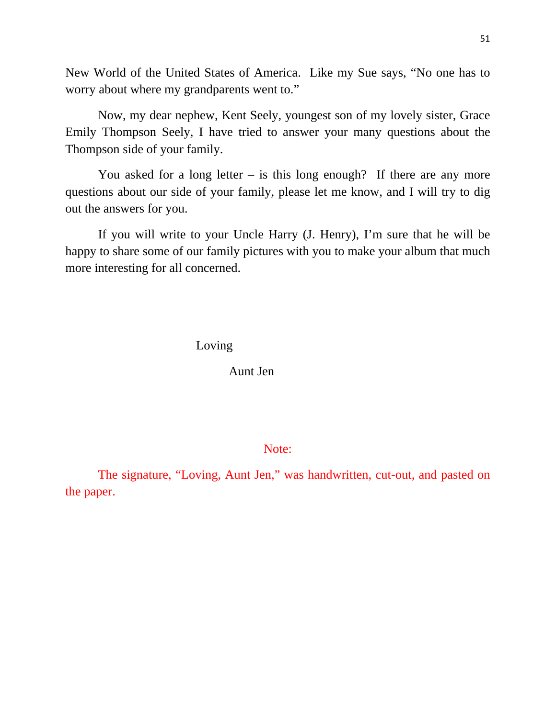New World of the United States of America. Like my Sue says, "No one has to worry about where my grandparents went to."

Now, my dear nephew, Kent Seely, youngest son of my lovely sister, Grace Emily Thompson Seely, I have tried to answer your many questions about the Thompson side of your family.

You asked for a long letter  $-$  is this long enough? If there are any more questions about our side of your family, please let me know, and I will try to dig out the answers for you.

If you will write to your Uncle Harry (J. Henry), I'm sure that he will be happy to share some of our family pictures with you to make your album that much more interesting for all concerned.

Loving

Aunt Jen

Note:

The signature, "Loving, Aunt Jen," was handwritten, cut-out, and pasted on the paper.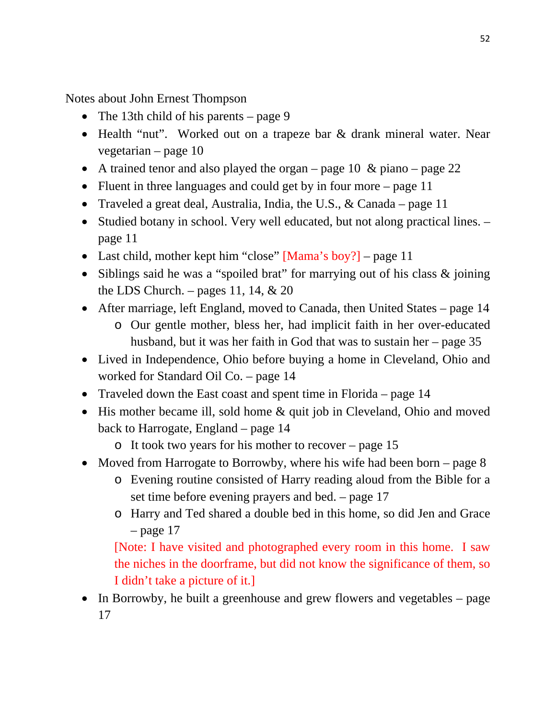Notes about John Ernest Thompson

- The 13th child of his parents page 9
- Health "nut". Worked out on a trapeze bar & drank mineral water. Near vegetarian – page 10
- A trained tenor and also played the organ page 10  $\&$  piano page 22
- Fluent in three languages and could get by in four more page 11
- Traveled a great deal, Australia, India, the U.S., & Canada page 11
- Studied botany in school. Very well educated, but not along practical lines. page 11
- Last child, mother kept him "close" [Mama's boy?] page 11
- Siblings said he was a "spoiled brat" for marrying out of his class  $\&$  joining the LDS Church. – pages 11, 14,  $& 20$
- After marriage, left England, moved to Canada, then United States page 14
	- o Our gentle mother, bless her, had implicit faith in her over-educated husband, but it was her faith in God that was to sustain her – page 35
- Lived in Independence, Ohio before buying a home in Cleveland, Ohio and worked for Standard Oil Co. – page 14
- Traveled down the East coast and spent time in Florida page 14
- His mother became ill, sold home & quit job in Cleveland, Ohio and moved back to Harrogate, England – page 14
	- o It took two years for his mother to recover page 15
- Moved from Harrogate to Borrowby, where his wife had been born page  $8$ 
	- o Evening routine consisted of Harry reading aloud from the Bible for a set time before evening prayers and bed. – page 17
	- o Harry and Ted shared a double bed in this home, so did Jen and Grace  $-$  page 17

[Note: I have visited and photographed every room in this home. I saw the niches in the doorframe, but did not know the significance of them, so I didn't take a picture of it.]

• In Borrowby, he built a greenhouse and grew flowers and vegetables – page 17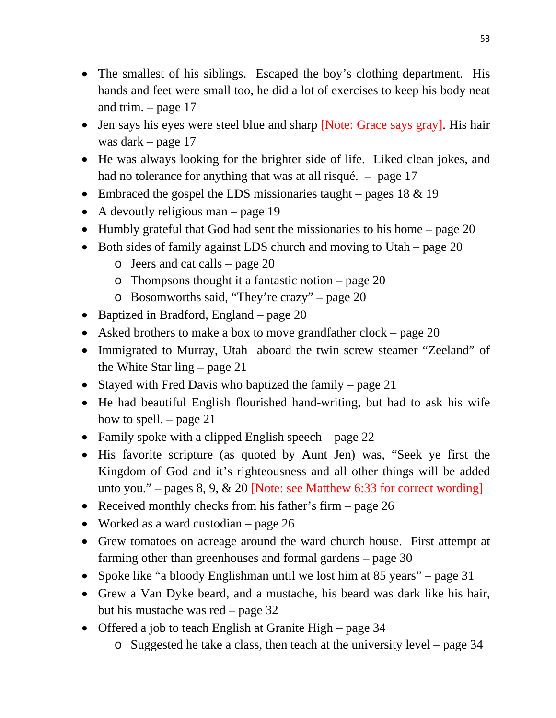- The smallest of his siblings. Escaped the boy's clothing department. His hands and feet were small too, he did a lot of exercises to keep his body neat and trim. – page 17
- Jen says his eyes were steel blue and sharp [Note: Grace says gray]. His hair was dark – page 17
- He was always looking for the brighter side of life. Liked clean jokes, and had no tolerance for anything that was at all risqué. – page 17
- Embraced the gospel the LDS missionaries taught pages  $18 \& 19$
- A devoutly religious man page 19
- $\bullet$  Humbly grateful that God had sent the missionaries to his home page 20
- $\bullet$  Both sides of family against LDS church and moving to Utah page 20
	- o Jeers and cat calls page 20
	- o Thompsons thought it a fantastic notion page 20
	- o Bosomworths said, "They're crazy" page 20
- Baptized in Bradford, England page 20
- Asked brothers to make a box to move grandfather clock page 20
- Immigrated to Murray, Utah aboard the twin screw steamer "Zeeland" of the White Star ling – page 21
- Stayed with Fred Davis who baptized the family page 21
- He had beautiful English flourished hand-writing, but had to ask his wife how to spell. – page 21
- Family spoke with a clipped English speech page 22
- His favorite scripture (as quoted by Aunt Jen) was, "Seek ye first the Kingdom of God and it's righteousness and all other things will be added unto you." – pages  $8, 9, \& 20$  [Note: see Matthew 6:33 for correct wording]
- Received monthly checks from his father's firm page 26
- Worked as a ward custodian page 26
- Grew tomatoes on acreage around the ward church house. First attempt at farming other than greenhouses and formal gardens – page 30
- Spoke like "a bloody Englishman until we lost him at 85 years" page 31
- Grew a Van Dyke beard, and a mustache, his beard was dark like his hair, but his mustache was red – page 32
- Offered a job to teach English at Granite High page 34
	- o Suggested he take a class, then teach at the university level page 34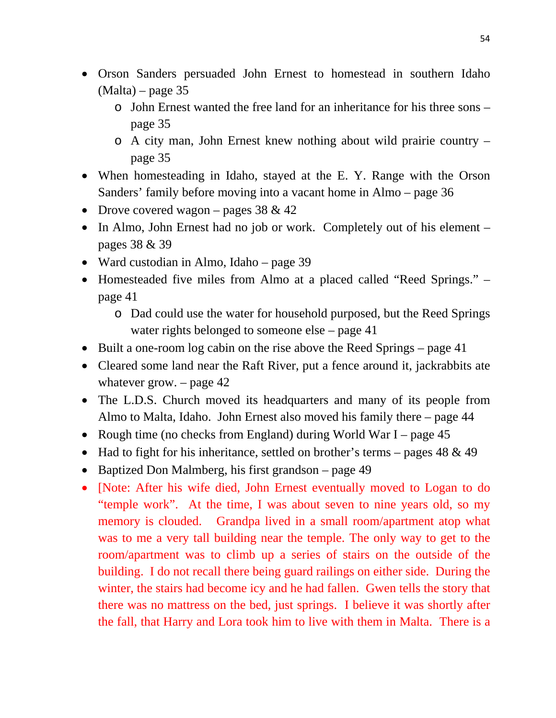- Orson Sanders persuaded John Ernest to homestead in southern Idaho  $(Malta)$  – page 35
	- o John Ernest wanted the free land for an inheritance for his three sons page 35
	- o A city man, John Ernest knew nothing about wild prairie country page 35
- When homesteading in Idaho, stayed at the E. Y. Range with the Orson Sanders' family before moving into a vacant home in Almo – page 36
- Drove covered wagon pages  $38 \& 42$
- In Almo, John Ernest had no job or work. Completely out of his element pages 38 & 39
- Ward custodian in Almo, Idaho page 39
- Homesteaded five miles from Almo at a placed called "Reed Springs." page 41
	- o Dad could use the water for household purposed, but the Reed Springs water rights belonged to someone else – page 41
- Built a one-room log cabin on the rise above the Reed Springs page 41
- Cleared some land near the Raft River, put a fence around it, jackrabbits ate whatever grow.  $-$  page 42
- The L.D.S. Church moved its headquarters and many of its people from Almo to Malta, Idaho. John Ernest also moved his family there – page 44
- Rough time (no checks from England) during World War I page 45
- Had to fight for his inheritance, settled on brother's terms pages  $48 \& 49$
- Baptized Don Malmberg, his first grandson page 49
- [Note: After his wife died, John Ernest eventually moved to Logan to do "temple work". At the time, I was about seven to nine years old, so my memory is clouded. Grandpa lived in a small room/apartment atop what was to me a very tall building near the temple. The only way to get to the room/apartment was to climb up a series of stairs on the outside of the building. I do not recall there being guard railings on either side. During the winter, the stairs had become icy and he had fallen. Gwen tells the story that there was no mattress on the bed, just springs. I believe it was shortly after the fall, that Harry and Lora took him to live with them in Malta. There is a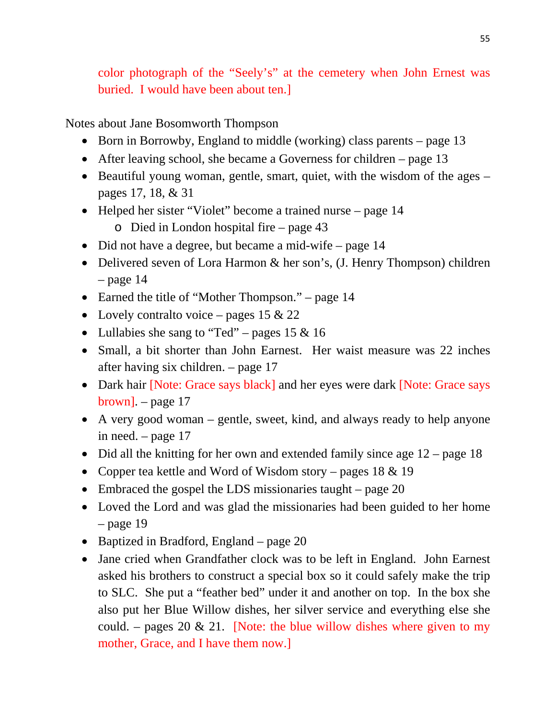color photograph of the "Seely's" at the cemetery when John Ernest was buried. I would have been about ten.]

Notes about Jane Bosomworth Thompson

- Born in Borrowby, England to middle (working) class parents page 13
- After leaving school, she became a Governess for children page 13
- Beautiful young woman, gentle, smart, quiet, with the wisdom of the ages pages 17, 18, & 31
- Helped her sister "Violet" become a trained nurse page 14
	- o Died in London hospital fire page 43
- Did not have a degree, but became a mid-wife page 14
- Delivered seven of Lora Harmon & her son's, (J. Henry Thompson) children  $-$  page 14
- Earned the title of "Mother Thompson." page 14
- Lovely contralto voice pages 15  $& 22$
- Lullabies she sang to "Ted" pages 15 & 16
- Small, a bit shorter than John Earnest. Her waist measure was 22 inches after having six children. – page 17
- Dark hair [Note: Grace says black] and her eyes were dark [Note: Grace says brown]. – page 17
- A very good woman gentle, sweet, kind, and always ready to help anyone in need. – page 17
- Did all the knitting for her own and extended family since age 12 page 18
- Copper tea kettle and Word of Wisdom story pages  $18 \& 19$
- Embraced the gospel the LDS missionaries taught page 20
- Loved the Lord and was glad the missionaries had been guided to her home  $-$  page 19
- Baptized in Bradford, England page 20
- Jane cried when Grandfather clock was to be left in England. John Earnest asked his brothers to construct a special box so it could safely make the trip to SLC. She put a "feather bed" under it and another on top. In the box she also put her Blue Willow dishes, her silver service and everything else she could. – pages 20  $\&$  21. [Note: the blue willow dishes where given to my mother, Grace, and I have them now.]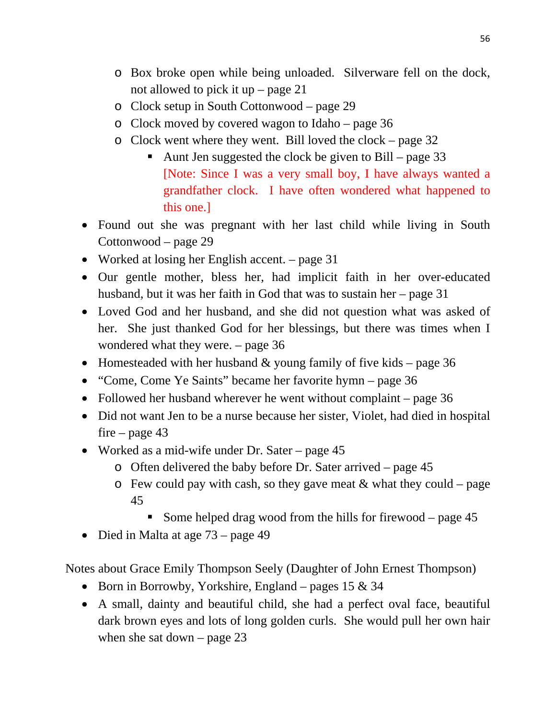- o Box broke open while being unloaded. Silverware fell on the dock, not allowed to pick it up – page 21
- o Clock setup in South Cottonwood page 29
- o Clock moved by covered wagon to Idaho page 36
- o Clock went where they went. Bill loved the clock page 32
	- Aunt Jen suggested the clock be given to Bill page 33 [Note: Since I was a very small boy, I have always wanted a grandfather clock. I have often wondered what happened to this one.]
- Found out she was pregnant with her last child while living in South Cottonwood – page 29
- Worked at losing her English accent. page 31
- Our gentle mother, bless her, had implicit faith in her over-educated husband, but it was her faith in God that was to sustain her – page 31
- Loved God and her husband, and she did not question what was asked of her. She just thanked God for her blessings, but there was times when I wondered what they were. – page 36
- Homesteaded with her husband  $&$  young family of five kids page 36
- "Come, Come Ye Saints" became her favorite hymn page 36
- Followed her husband wherever he went without complaint page 36
- Did not want Jen to be a nurse because her sister, Violet, had died in hospital fire – page  $43$
- Worked as a mid-wife under Dr. Sater page 45
	- o Often delivered the baby before Dr. Sater arrived page 45
	- $\circ$  Few could pay with cash, so they gave meat & what they could page 45
		- Some helped drag wood from the hills for firewood page 45
- Died in Malta at age 73 page 49

Notes about Grace Emily Thompson Seely (Daughter of John Ernest Thompson)

- Born in Borrowby, Yorkshire, England pages  $15 \& 34$
- A small, dainty and beautiful child, she had a perfect oval face, beautiful dark brown eyes and lots of long golden curls. She would pull her own hair when she sat down – page 23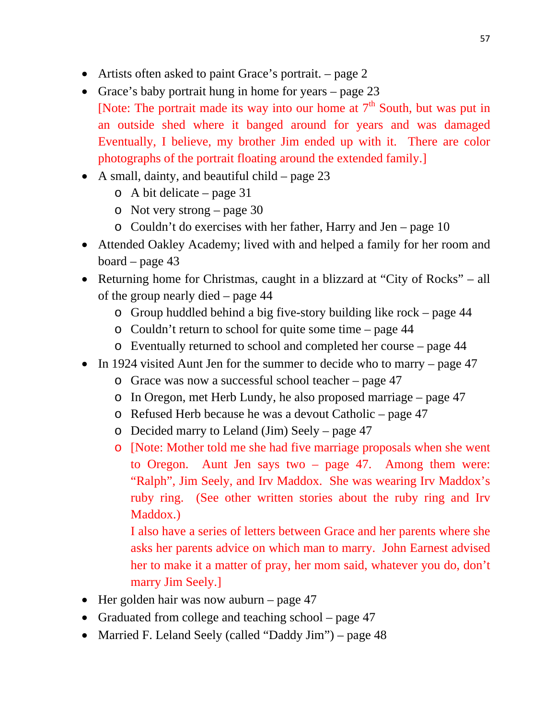- Artists often asked to paint Grace's portrait. page 2
- Grace's baby portrait hung in home for years page 23 [Note: The portrait made its way into our home at  $7<sup>th</sup>$  South, but was put in an outside shed where it banged around for years and was damaged Eventually, I believe, my brother Jim ended up with it. There are color photographs of the portrait floating around the extended family.]
- A small, dainty, and beautiful child page  $23$ 
	- o A bit delicate page 31
	- o Not very strong page 30
	- o Couldn't do exercises with her father, Harry and Jen page 10
- Attended Oakley Academy; lived with and helped a family for her room and board – page 43
- Returning home for Christmas, caught in a blizzard at "City of Rocks" all of the group nearly died – page 44
	- o Group huddled behind a big five-story building like rock page 44
	- o Couldn't return to school for quite some time page 44
	- o Eventually returned to school and completed her course page 44
- In 1924 visited Aunt Jen for the summer to decide who to marry page 47
	- o Grace was now a successful school teacher page 47
	- o In Oregon, met Herb Lundy, he also proposed marriage page 47
	- o Refused Herb because he was a devout Catholic page 47
	- o Decided marry to Leland (Jim) Seely page 47
	- o [Note: Mother told me she had five marriage proposals when she went to Oregon. Aunt Jen says two – page 47. Among them were: "Ralph", Jim Seely, and Irv Maddox. She was wearing Irv Maddox's ruby ring. (See other written stories about the ruby ring and Irv Maddox.)

I also have a series of letters between Grace and her parents where she asks her parents advice on which man to marry. John Earnest advised her to make it a matter of pray, her mom said, whatever you do, don't marry Jim Seely.]

- $\bullet$  Her golden hair was now auburn page 47
- Graduated from college and teaching school page 47
- Married F. Leland Seely (called "Daddy Jim") page 48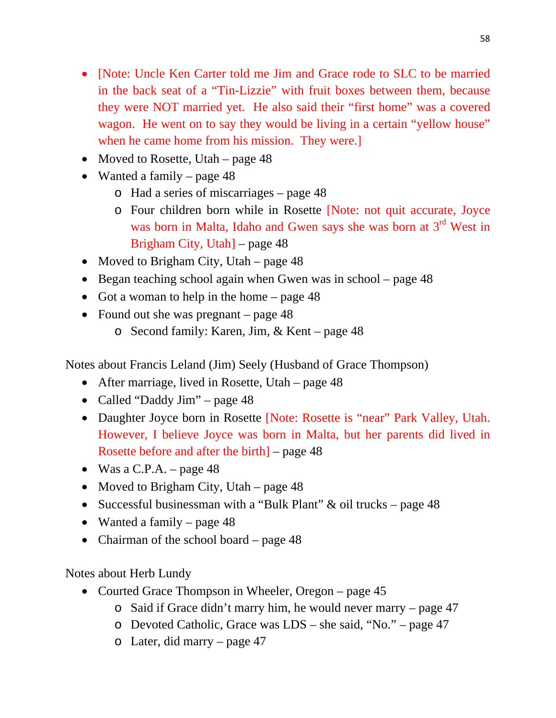- [Note: Uncle Ken Carter told me Jim and Grace rode to SLC to be married in the back seat of a "Tin-Lizzie" with fruit boxes between them, because they were NOT married yet. He also said their "first home" was a covered wagon. He went on to say they would be living in a certain "yellow house" when he came home from his mission. They were.]
- Moved to Rosette, Utah page 48
- Wanted a family page 48
	- o Had a series of miscarriages page 48
	- o Four children born while in Rosette [Note: not quit accurate, Joyce was born in Malta, Idaho and Gwen says she was born at 3<sup>rd</sup> West in Brigham City, Utah] – page 48
- Moved to Brigham City, Utah page  $48$
- $\bullet$  Began teaching school again when Gwen was in school page 48
- Got a woman to help in the home page  $48$
- Found out she was pregnant page 48
	- o Second family: Karen, Jim, & Kent page 48

Notes about Francis Leland (Jim) Seely (Husband of Grace Thompson)

- After marriage, lived in Rosette, Utah page 48
- Called "Daddy Jim" page 48
- Daughter Joyce born in Rosette [Note: Rosette is "near" Park Valley, Utah. However, I believe Joyce was born in Malta, but her parents did lived in Rosette before and after the birth] – page 48
- Was a C.P.A. page  $48$
- Moved to Brigham City, Utah page  $48$
- Successful businessman with a "Bulk Plant"  $\&$  oil trucks page 48
- Wanted a family page 48
- Chairman of the school board page 48

Notes about Herb Lundy

- Courted Grace Thompson in Wheeler, Oregon page 45
	- o Said if Grace didn't marry him, he would never marry page 47
	- o Devoted Catholic, Grace was LDS she said, "No." page 47
	- o Later, did marry page 47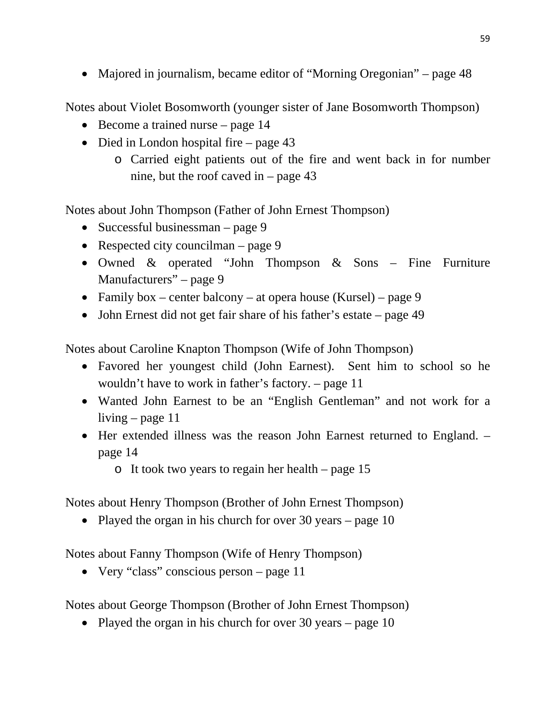• Majored in journalism, became editor of "Morning Oregonian" – page 48

Notes about Violet Bosomworth (younger sister of Jane Bosomworth Thompson)

- $\bullet$  Become a trained nurse page 14
- Died in London hospital fire page 43
	- o Carried eight patients out of the fire and went back in for number nine, but the roof caved in – page 43

Notes about John Thompson (Father of John Ernest Thompson)

- Successful businessman page  $9$
- Respected city councilman page  $9$
- Owned & operated "John Thompson & Sons Fine Furniture Manufacturers" – page 9
- Family box center balcony at opera house (Kursel) page 9
- John Ernest did not get fair share of his father's estate page 49

Notes about Caroline Knapton Thompson (Wife of John Thompson)

- Favored her youngest child (John Earnest). Sent him to school so he wouldn't have to work in father's factory. – page 11
- Wanted John Earnest to be an "English Gentleman" and not work for a living – page 11
- Her extended illness was the reason John Earnest returned to England. page 14

o It took two years to regain her health – page 15

Notes about Henry Thompson (Brother of John Ernest Thompson)

• Played the organ in his church for over 30 years – page 10

Notes about Fanny Thompson (Wife of Henry Thompson)

• Very "class" conscious person – page 11

Notes about George Thompson (Brother of John Ernest Thompson)

• Played the organ in his church for over 30 years – page 10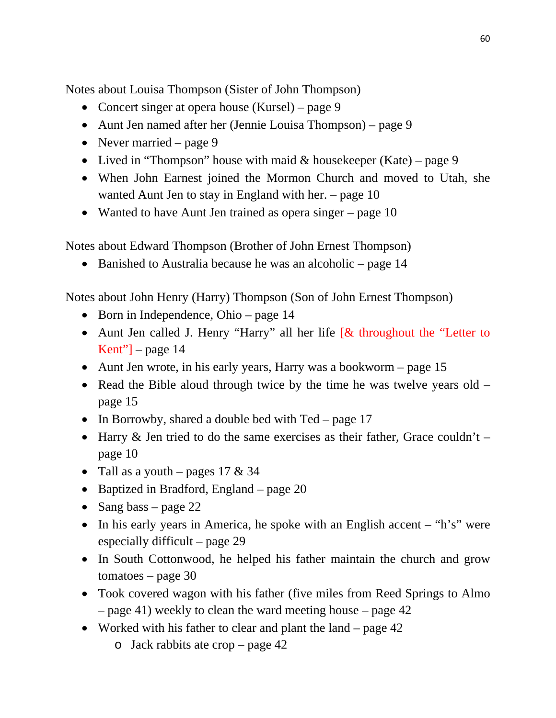Notes about Louisa Thompson (Sister of John Thompson)

- Concert singer at opera house (Kursel) page 9
- Aunt Jen named after her (Jennie Louisa Thompson) page 9
- Never married page 9
- Lived in "Thompson" house with maid  $&$  housekeeper (Kate) page 9
- When John Earnest joined the Mormon Church and moved to Utah, she wanted Aunt Jen to stay in England with her. – page 10
- Wanted to have Aunt Jen trained as opera singer page 10

Notes about Edward Thompson (Brother of John Ernest Thompson)

• Banished to Australia because he was an alcoholic – page 14

Notes about John Henry (Harry) Thompson (Son of John Ernest Thompson)

- Born in Independence, Ohio page 14
- Aunt Jen called J. Henry "Harry" all her life [& throughout the "Letter to Kent" $-$  page 14
- Aunt Jen wrote, in his early years, Harry was a bookworm page 15
- Read the Bible aloud through twice by the time he was twelve years old  $$ page 15
- In Borrowby, shared a double bed with  $Ted page 17$
- Harry  $\&$  Jen tried to do the same exercises as their father, Grace couldn't page 10
- Tall as a youth pages  $17 \& 34$
- Baptized in Bradford, England page 20
- Sang bass page 22
- In his early years in America, he spoke with an English accent  $-$  "h's" were especially difficult – page 29
- In South Cottonwood, he helped his father maintain the church and grow tomatoes – page 30
- Took covered wagon with his father (five miles from Reed Springs to Almo – page 41) weekly to clean the ward meeting house – page 42
- Worked with his father to clear and plant the land page 42
	- o Jack rabbits ate crop page 42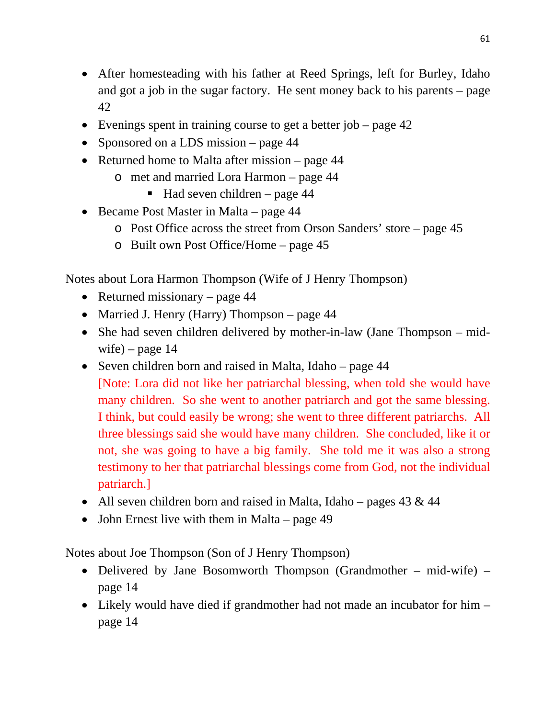- After homesteading with his father at Reed Springs, left for Burley, Idaho and got a job in the sugar factory. He sent money back to his parents – page 42
- Evenings spent in training course to get a better job page 42
- Sponsored on a LDS mission page 44
- Returned home to Malta after mission page 44
	- o met and married Lora Harmon page 44
		- $\blacksquare$  Had seven children page 44
- Became Post Master in Malta page 44
	- o Post Office across the street from Orson Sanders' store page 45
	- o Built own Post Office/Home page 45

Notes about Lora Harmon Thompson (Wife of J Henry Thompson)

- Returned missionary page  $44$
- Married J. Henry (Harry) Thompson page 44
- She had seven children delivered by mother-in-law (Jane Thompson midwife) – page  $14$
- Seven children born and raised in Malta, Idaho page 44 [Note: Lora did not like her patriarchal blessing, when told she would have many children. So she went to another patriarch and got the same blessing. I think, but could easily be wrong; she went to three different patriarchs. All three blessings said she would have many children. She concluded, like it or not, she was going to have a big family. She told me it was also a strong testimony to her that patriarchal blessings come from God, not the individual patriarch.]
- All seven children born and raised in Malta, Idaho pages  $43 \& 44$
- John Ernest live with them in Malta page 49

Notes about Joe Thompson (Son of J Henry Thompson)

- Delivered by Jane Bosomworth Thompson (Grandmother mid-wife) page 14
- Likely would have died if grandmother had not made an incubator for him page 14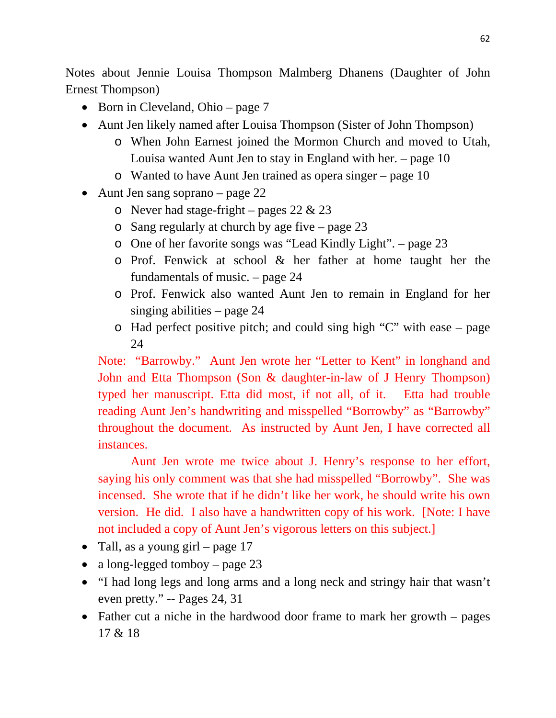Notes about Jennie Louisa Thompson Malmberg Dhanens (Daughter of John Ernest Thompson)

- Born in Cleveland, Ohio page  $7$
- Aunt Jen likely named after Louisa Thompson (Sister of John Thompson)
	- o When John Earnest joined the Mormon Church and moved to Utah, Louisa wanted Aunt Jen to stay in England with her. – page 10
	- o Wanted to have Aunt Jen trained as opera singer page 10
- Aunt Jen sang soprano page 22
	- o Never had stage-fright pages  $22 \& 23$
	- o Sang regularly at church by age five page 23
	- o One of her favorite songs was "Lead Kindly Light". page 23
	- o Prof. Fenwick at school & her father at home taught her the fundamentals of music. – page 24
	- o Prof. Fenwick also wanted Aunt Jen to remain in England for her singing abilities – page 24
	- o Had perfect positive pitch; and could sing high "C" with ease page 24

Note: "Barrowby." Aunt Jen wrote her "Letter to Kent" in longhand and John and Etta Thompson (Son & daughter-in-law of J Henry Thompson) typed her manuscript. Etta did most, if not all, of it. Etta had trouble reading Aunt Jen's handwriting and misspelled "Borrowby" as "Barrowby" throughout the document. As instructed by Aunt Jen, I have corrected all instances.

Aunt Jen wrote me twice about J. Henry's response to her effort, saying his only comment was that she had misspelled "Borrowby". She was incensed. She wrote that if he didn't like her work, he should write his own version. He did. I also have a handwritten copy of his work. [Note: I have not included a copy of Aunt Jen's vigorous letters on this subject.]

- Tall, as a young girl page  $17$
- a long-legged tomboy page 23
- "I had long legs and long arms and a long neck and stringy hair that wasn't even pretty." -- Pages 24, 31
- Father cut a niche in the hardwood door frame to mark her growth pages 17 & 18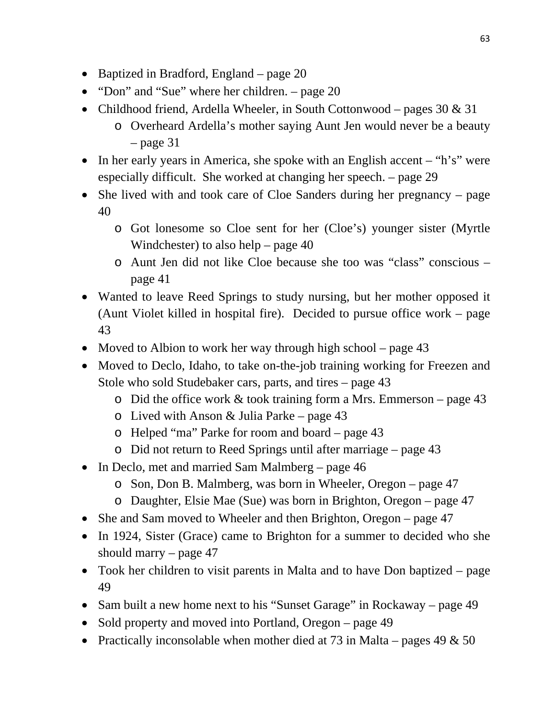- Baptized in Bradford, England page 20
- "Don" and "Sue" where her children. page 20
- Childhood friend, Ardella Wheeler, in South Cottonwood pages  $30 \& 31$ 
	- o Overheard Ardella's mother saying Aunt Jen would never be a beauty  $-$  page 31
- In her early years in America, she spoke with an English accent "h's" were especially difficult. She worked at changing her speech. – page 29
- She lived with and took care of Cloe Sanders during her pregnancy page 40
	- o Got lonesome so Cloe sent for her (Cloe's) younger sister (Myrtle Windchester) to also help – page 40
	- o Aunt Jen did not like Cloe because she too was "class" conscious page 41
- Wanted to leave Reed Springs to study nursing, but her mother opposed it (Aunt Violet killed in hospital fire). Decided to pursue office work – page 43
- Moved to Albion to work her way through high school page 43
- Moved to Declo, Idaho, to take on-the-job training working for Freezen and Stole who sold Studebaker cars, parts, and tires – page 43
	- o Did the office work & took training form a Mrs. Emmerson page 43
	- $\circ$  Lived with Anson & Julia Parke page 43
	- o Helped "ma" Parke for room and board page 43
	- o Did not return to Reed Springs until after marriage page 43
- In Declo, met and married Sam Malmberg page 46
	- o Son, Don B. Malmberg, was born in Wheeler, Oregon page 47
	- o Daughter, Elsie Mae (Sue) was born in Brighton, Oregon page 47
- She and Sam moved to Wheeler and then Brighton, Oregon page 47
- In 1924, Sister (Grace) came to Brighton for a summer to decided who she should marry  $-$  page 47
- Took her children to visit parents in Malta and to have Don baptized page 49
- Sam built a new home next to his "Sunset Garage" in Rockaway page 49
- Sold property and moved into Portland, Oregon page 49
- Practically inconsolable when mother died at 73 in Malta pages 49  $\&$  50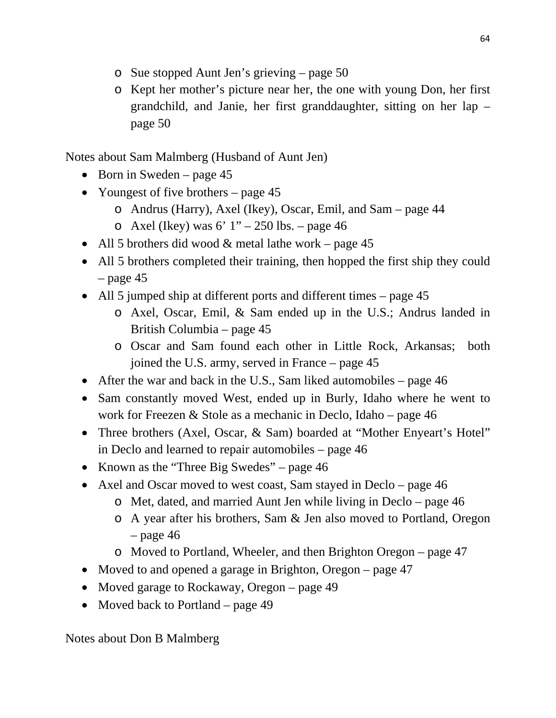- o Sue stopped Aunt Jen's grieving page 50
- o Kept her mother's picture near her, the one with young Don, her first grandchild, and Janie, her first granddaughter, sitting on her lap – page 50

Notes about Sam Malmberg (Husband of Aunt Jen)

- Born in Sweden page  $45$
- Youngest of five brothers page 45
	- o Andrus (Harry), Axel (Ikey), Oscar, Emil, and Sam page 44
	- o Axel (Ikey) was  $6'$  1" 250 lbs. page 46
- All 5 brothers did wood  $&$  metal lathe work page 45
- All 5 brothers completed their training, then hopped the first ship they could  $-$  page 45
- All 5 jumped ship at different ports and different times page 45
	- o Axel, Oscar, Emil, & Sam ended up in the U.S.; Andrus landed in British Columbia – page 45
	- o Oscar and Sam found each other in Little Rock, Arkansas; both joined the U.S. army, served in France – page 45
- After the war and back in the U.S., Sam liked automobiles page  $46$
- Sam constantly moved West, ended up in Burly, Idaho where he went to work for Freezen & Stole as a mechanic in Declo, Idaho – page 46
- Three brothers (Axel, Oscar, & Sam) boarded at "Mother Enyeart's Hotel" in Declo and learned to repair automobiles – page 46
- Known as the "Three Big Swedes" page 46
- Axel and Oscar moved to west coast, Sam stayed in Declo page 46
	- o Met, dated, and married Aunt Jen while living in Declo page 46
	- o A year after his brothers, Sam & Jen also moved to Portland, Oregon  $-$  page 46
	- o Moved to Portland, Wheeler, and then Brighton Oregon page 47
- Moved to and opened a garage in Brighton, Oregon page 47
- Moved garage to Rockaway, Oregon page 49
- Moved back to Portland page 49

Notes about Don B Malmberg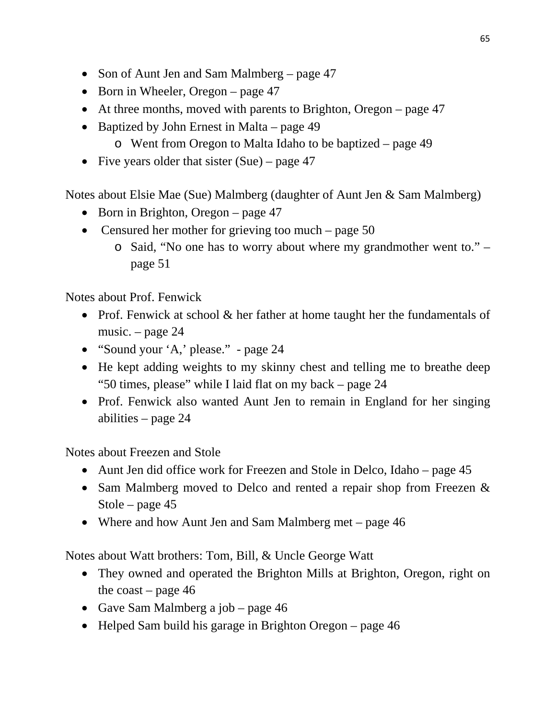- Son of Aunt Jen and Sam Malmberg page 47
- Born in Wheeler, Oregon page  $47$
- At three months, moved with parents to Brighton, Oregon page 47
- Baptized by John Ernest in Malta page 49
	- o Went from Oregon to Malta Idaho to be baptized page 49
- Five years older that sister  $(Sue)$  page 47

Notes about Elsie Mae (Sue) Malmberg (daughter of Aunt Jen & Sam Malmberg)

- Born in Brighton, Oregon page  $47$
- Censured her mother for grieving too much page 50
	- o Said, "No one has to worry about where my grandmother went to." page 51

Notes about Prof. Fenwick

- Prof. Fenwick at school & her father at home taught her the fundamentals of music. – page 24
- "Sound your 'A,' please." page 24
- He kept adding weights to my skinny chest and telling me to breathe deep "50 times, please" while I laid flat on my back – page 24
- Prof. Fenwick also wanted Aunt Jen to remain in England for her singing abilities – page 24

Notes about Freezen and Stole

- Aunt Jen did office work for Freezen and Stole in Delco, Idaho page 45
- Sam Malmberg moved to Delco and rented a repair shop from Freezen & Stole – page 45
- Where and how Aunt Jen and Sam Malmberg met page 46

Notes about Watt brothers: Tom, Bill, & Uncle George Watt

- They owned and operated the Brighton Mills at Brighton, Oregon, right on the coast – page  $46$
- Gave Sam Malmberg a job page 46
- Helped Sam build his garage in Brighton Oregon page 46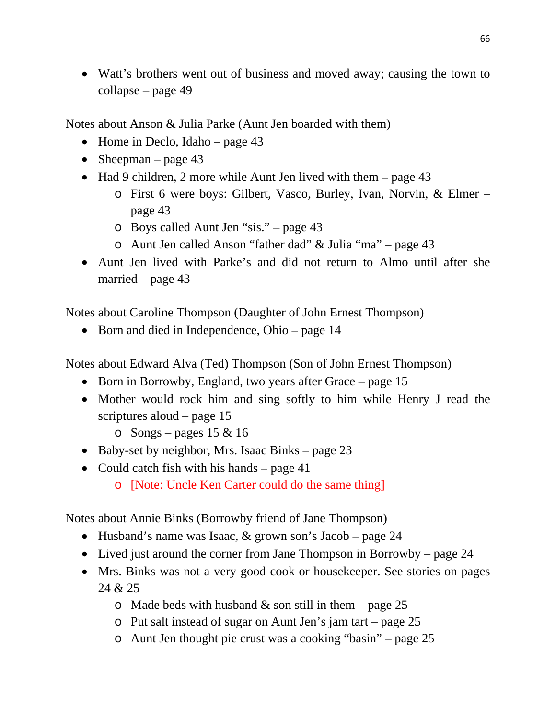• Watt's brothers went out of business and moved away; causing the town to collapse – page 49

Notes about Anson & Julia Parke (Aunt Jen boarded with them)

- Home in Declo, Idaho page  $43$
- Sheepman page 43
- Had 9 children, 2 more while Aunt Jen lived with them page 43
	- o First 6 were boys: Gilbert, Vasco, Burley, Ivan, Norvin, & Elmer page 43
	- o Boys called Aunt Jen "sis." page 43
	- o Aunt Jen called Anson "father dad" & Julia "ma" page 43
- Aunt Jen lived with Parke's and did not return to Almo until after she married – page 43

Notes about Caroline Thompson (Daughter of John Ernest Thompson)

• Born and died in Independence, Ohio – page 14

Notes about Edward Alva (Ted) Thompson (Son of John Ernest Thompson)

- Born in Borrowby, England, two years after Grace page 15
- Mother would rock him and sing softly to him while Henry J read the scriptures aloud – page 15
	- $\circ$  Songs pages 15 & 16
- $\bullet$  Baby-set by neighbor, Mrs. Isaac Binks page 23
- Could catch fish with his hands page  $41$ 
	- o [Note: Uncle Ken Carter could do the same thing]

Notes about Annie Binks (Borrowby friend of Jane Thompson)

- Husband's name was Isaac,  $&$  grown son's Jacob page 24
- Lived just around the corner from Jane Thompson in Borrowby page 24
- Mrs. Binks was not a very good cook or housekeeper. See stories on pages 24 & 25
	- o Made beds with husband  $&$  son still in them page 25
	- o Put salt instead of sugar on Aunt Jen's jam tart page 25
	- o Aunt Jen thought pie crust was a cooking "basin" page 25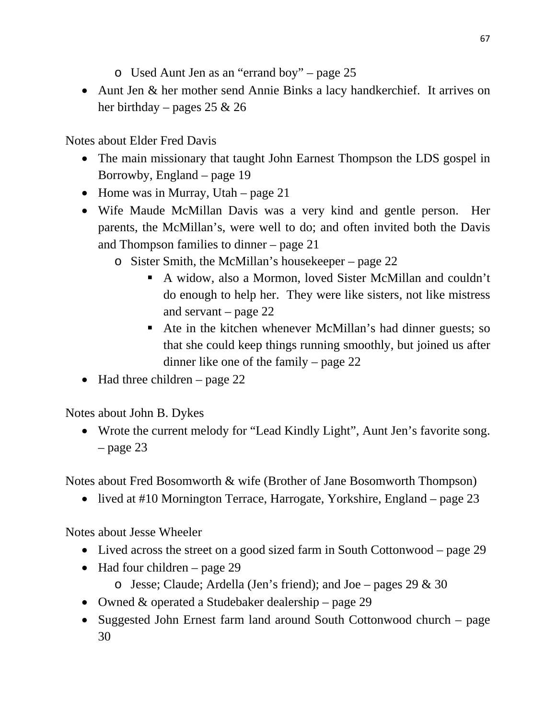- o Used Aunt Jen as an "errand boy" page 25
- Aunt Jen & her mother send Annie Binks a lacy handkerchief. It arrives on her birthday – pages 25  $\&$  26

Notes about Elder Fred Davis

- The main missionary that taught John Earnest Thompson the LDS gospel in Borrowby, England – page 19
- Home was in Murray, Utah page 21
- Wife Maude McMillan Davis was a very kind and gentle person. Her parents, the McMillan's, were well to do; and often invited both the Davis and Thompson families to dinner – page 21
	- o Sister Smith, the McMillan's housekeeper page 22
		- A widow, also a Mormon, loved Sister McMillan and couldn't do enough to help her. They were like sisters, not like mistress and servant – page 22
		- Ate in the kitchen whenever McMillan's had dinner guests; so that she could keep things running smoothly, but joined us after dinner like one of the family – page 22
- Had three children page  $22$

Notes about John B. Dykes

• Wrote the current melody for "Lead Kindly Light", Aunt Jen's favorite song.  $-$  page 23

Notes about Fred Bosomworth & wife (Brother of Jane Bosomworth Thompson)

• lived at #10 Mornington Terrace, Harrogate, Yorkshire, England – page 23

Notes about Jesse Wheeler

- Lived across the street on a good sized farm in South Cottonwood page 29
- $\bullet$  Had four children page 29
	- $\circ$  Jesse; Claude; Ardella (Jen's friend); and Joe pages 29 & 30
- Owned & operated a Studebaker dealership page 29
- Suggested John Ernest farm land around South Cottonwood church page 30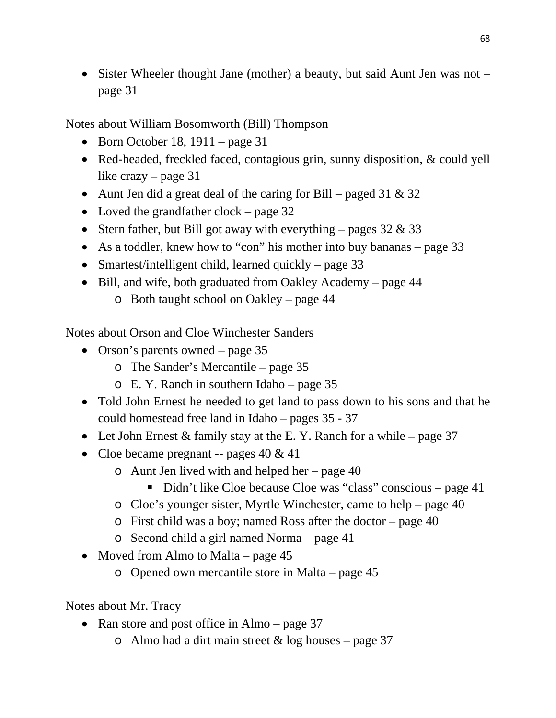• Sister Wheeler thought Jane (mother) a beauty, but said Aunt Jen was not – page 31

Notes about William Bosomworth (Bill) Thompson

- $\bullet$  Born October 18, 1911 page 31
- Red-headed, freckled faced, contagious grin, sunny disposition, & could yell like crazy – page 31
- Aunt Jen did a great deal of the caring for Bill paged 31  $\&$  32
- Loved the grandfather clock page 32
- Stern father, but Bill got away with everything pages  $32 \& 33$
- As a toddler, knew how to "con" his mother into buy bananas page 33
- Smartest/intelligent child, learned quickly page 33
- Bill, and wife, both graduated from Oakley Academy page 44
	- o Both taught school on Oakley page 44

Notes about Orson and Cloe Winchester Sanders

- Orson's parents owned page 35
	- o The Sander's Mercantile page 35
	- o E. Y. Ranch in southern Idaho page 35
- Told John Ernest he needed to get land to pass down to his sons and that he could homestead free land in Idaho – pages 35 - 37
- Let John Ernest  $&$  family stay at the E. Y. Ranch for a while page 37
- Cloe became pregnant -- pages  $40 \& 41$ 
	- o Aunt Jen lived with and helped her page 40
		- Didn't like Cloe because Cloe was "class" conscious page 41
	- o Cloe's younger sister, Myrtle Winchester, came to help page 40
	- o First child was a boy; named Ross after the doctor page 40
	- o Second child a girl named Norma page 41
- Moved from Almo to Malta page  $45$ 
	- o Opened own mercantile store in Malta page 45

Notes about Mr. Tracy

- Ran store and post office in Almo page 37
	- o Almo had a dirt main street  $&$  log houses page 37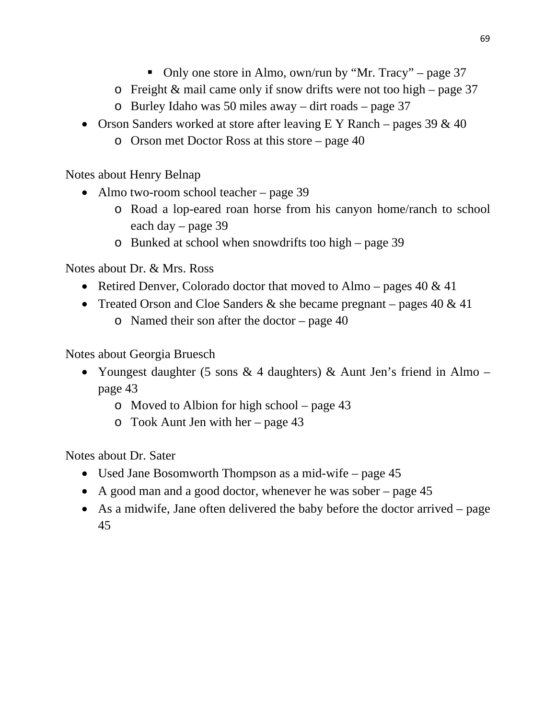- Only one store in Almo, own/run by "Mr. Tracy" page 37
- $\circ$  Freight & mail came only if snow drifts were not too high page 37
- o Burley Idaho was 50 miles away dirt roads page 37
- Orson Sanders worked at store after leaving  $E Y$  Ranch pages 39  $\&$  40
	- o Orson met Doctor Ross at this store page 40

Notes about Henry Belnap

- Almo two-room school teacher page 39
	- o Road a lop-eared roan horse from his canyon home/ranch to school each day – page 39
	- o Bunked at school when snowdrifts too high page 39

Notes about Dr. & Mrs. Ross

- Retired Denver, Colorado doctor that moved to Almo pages  $40 \& 41$
- Treated Orson and Cloe Sanders  $\&$  she became pregnant pages 40  $\&$  41
	- o Named their son after the doctor page 40

Notes about Georgia Bruesch

- Youngest daughter (5 sons  $\&$  4 daughters)  $\&$  Aunt Jen's friend in Almo page 43
	- o Moved to Albion for high school page 43
	- o Took Aunt Jen with her page 43

Notes about Dr. Sater

- Used Jane Bosomworth Thompson as a mid-wife page 45
- A good man and a good doctor, whenever he was sober page 45
- As a midwife, Jane often delivered the baby before the doctor arrived page 45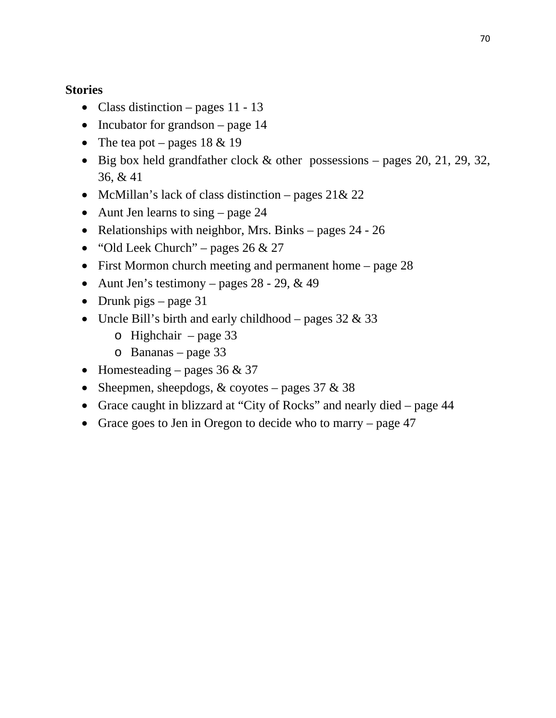## **Stories**

- Class distinction pages  $11 13$
- Incubator for grandson  $-$  page 14
- The tea pot pages  $18 \& 19$
- $\bullet$  Big box held grandfather clock & other possessions pages 20, 21, 29, 32, 36, & 41
- McMillan's lack of class distinction pages  $21& 22$
- Aunt Jen learns to sing page 24
- Relationships with neighbor, Mrs. Binks pages  $24 26$
- $\bullet$  "Old Leek Church" pages 26 & 27
- First Mormon church meeting and permanent home page 28
- Aunt Jen's testimony pages  $28 29$ , & 49
- Drunk pigs page  $31$
- Uncle Bill's birth and early childhood pages  $32 \& 33$ 
	- o Highchair page 33
	- o Bananas page 33
- Homesteading pages  $36 \& 37$
- Sheepmen, sheepdogs,  $&$  coyotes pages 37  $&$  38
- Grace caught in blizzard at "City of Rocks" and nearly died page 44
- Grace goes to Jen in Oregon to decide who to marry page  $47$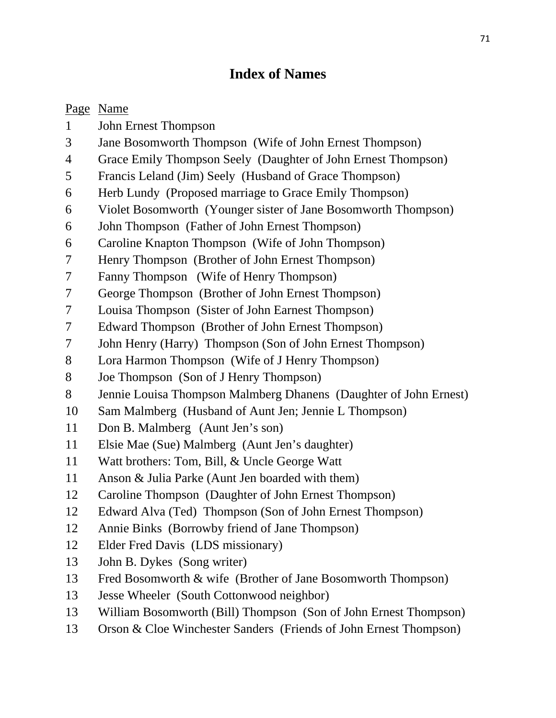## **Index of Names**

## Page Name

- 1 John Ernest Thompson
- 3 Jane Bosomworth Thompson (Wife of John Ernest Thompson)
- 4 Grace Emily Thompson Seely (Daughter of John Ernest Thompson)
- 5 Francis Leland (Jim) Seely (Husband of Grace Thompson)
- 6 Herb Lundy (Proposed marriage to Grace Emily Thompson)
- 6 Violet Bosomworth (Younger sister of Jane Bosomworth Thompson)
- 6 John Thompson (Father of John Ernest Thompson)
- 6 Caroline Knapton Thompson (Wife of John Thompson)
- 7 Henry Thompson (Brother of John Ernest Thompson)
- 7 Fanny Thompson (Wife of Henry Thompson)
- 7 George Thompson (Brother of John Ernest Thompson)
- 7 Louisa Thompson (Sister of John Earnest Thompson)
- 7 Edward Thompson (Brother of John Ernest Thompson)
- 7 John Henry (Harry) Thompson (Son of John Ernest Thompson)
- 8 Lora Harmon Thompson (Wife of J Henry Thompson)
- 8 Joe Thompson (Son of J Henry Thompson)
- 8 Jennie Louisa Thompson Malmberg Dhanens (Daughter of John Ernest)
- 10 Sam Malmberg (Husband of Aunt Jen; Jennie L Thompson)
- 11 Don B. Malmberg (Aunt Jen's son)
- 11 Elsie Mae (Sue) Malmberg (Aunt Jen's daughter)
- 11 Watt brothers: Tom, Bill, & Uncle George Watt
- 11 Anson & Julia Parke (Aunt Jen boarded with them)
- 12 Caroline Thompson (Daughter of John Ernest Thompson)
- 12 Edward Alva (Ted) Thompson (Son of John Ernest Thompson)
- 12 Annie Binks (Borrowby friend of Jane Thompson)
- 12 Elder Fred Davis (LDS missionary)
- 13 John B. Dykes (Song writer)
- 13 Fred Bosomworth & wife (Brother of Jane Bosomworth Thompson)
- 13 Jesse Wheeler (South Cottonwood neighbor)
- 13 William Bosomworth (Bill) Thompson (Son of John Ernest Thompson)
- 13 Orson & Cloe Winchester Sanders (Friends of John Ernest Thompson)